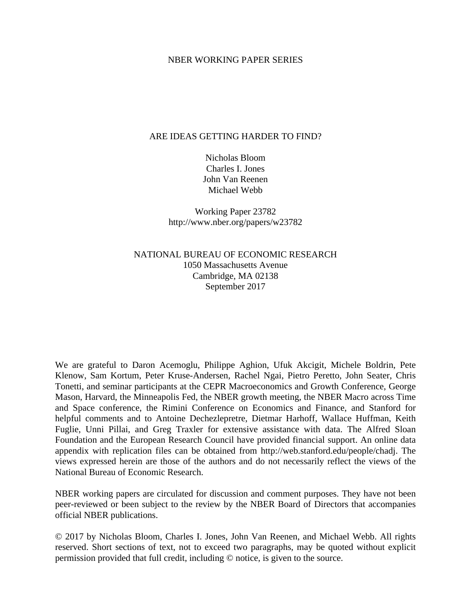### NBER WORKING PAPER SERIES

### ARE IDEAS GETTING HARDER TO FIND?

Nicholas Bloom Charles I. Jones John Van Reenen Michael Webb

Working Paper 23782 http://www.nber.org/papers/w23782

NATIONAL BUREAU OF ECONOMIC RESEARCH 1050 Massachusetts Avenue Cambridge, MA 02138 September 2017

We are grateful to Daron Acemoglu, Philippe Aghion, Ufuk Akcigit, Michele Boldrin, Pete Klenow, Sam Kortum, Peter Kruse-Andersen, Rachel Ngai, Pietro Peretto, John Seater, Chris Tonetti, and seminar participants at the CEPR Macroeconomics and Growth Conference, George Mason, Harvard, the Minneapolis Fed, the NBER growth meeting, the NBER Macro across Time and Space conference, the Rimini Conference on Economics and Finance, and Stanford for helpful comments and to Antoine Dechezlepretre, Dietmar Harhoff, Wallace Huffman, Keith Fuglie, Unni Pillai, and Greg Traxler for extensive assistance with data. The Alfred Sloan Foundation and the European Research Council have provided financial support. An online data appendix with replication files can be obtained from http://web.stanford.edu/people/chadj. The views expressed herein are those of the authors and do not necessarily reflect the views of the National Bureau of Economic Research.

NBER working papers are circulated for discussion and comment purposes. They have not been peer-reviewed or been subject to the review by the NBER Board of Directors that accompanies official NBER publications.

© 2017 by Nicholas Bloom, Charles I. Jones, John Van Reenen, and Michael Webb. All rights reserved. Short sections of text, not to exceed two paragraphs, may be quoted without explicit permission provided that full credit, including © notice, is given to the source.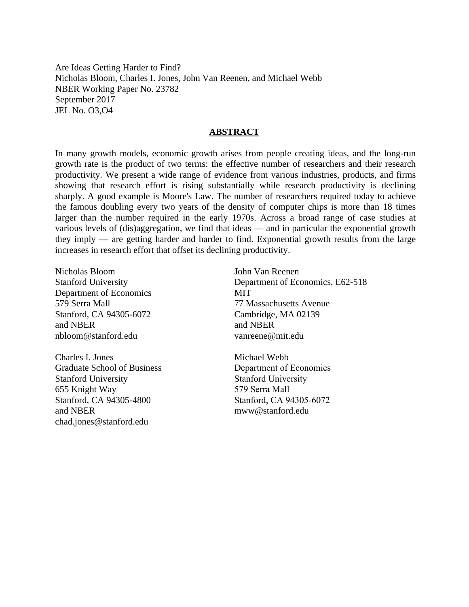Are Ideas Getting Harder to Find? Nicholas Bloom, Charles I. Jones, John Van Reenen, and Michael Webb NBER Working Paper No. 23782 September 2017 JEL No. O3,O4

### **ABSTRACT**

In many growth models, economic growth arises from people creating ideas, and the long-run growth rate is the product of two terms: the effective number of researchers and their research productivity. We present a wide range of evidence from various industries, products, and firms showing that research effort is rising substantially while research productivity is declining sharply. A good example is Moore's Law. The number of researchers required today to achieve the famous doubling every two years of the density of computer chips is more than 18 times larger than the number required in the early 1970s. Across a broad range of case studies at various levels of (dis)aggregation, we find that ideas — and in particular the exponential growth they imply — are getting harder and harder to find. Exponential growth results from the large increases in research effort that offset its declining productivity.

Nicholas Bloom Stanford University Department of Economics 579 Serra Mall Stanford, CA 94305-6072 and NBER nbloom@stanford.edu

Charles I. Jones Graduate School of Business Stanford University 655 Knight Way Stanford, CA 94305-4800 and NBER chad.jones@stanford.edu

John Van Reenen Department of Economics, E62-518 MIT 77 Massachusetts Avenue Cambridge, MA 02139 and NBER vanreene@mit.edu

Michael Webb Department of Economics Stanford University 579 Serra Mall Stanford, CA 94305-6072 mww@stanford.edu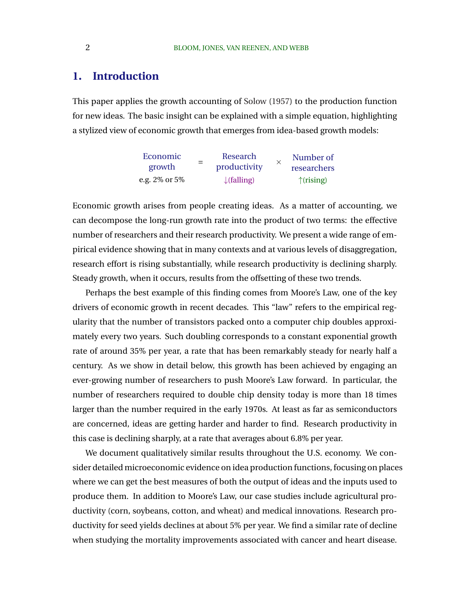## **1. Introduction**

This paper applies the growth accounting of [Solow](#page-53-0) [\(1957\)](#page-53-0) to the production function for new ideas. The basic insight can be explained with a simple equation, highlighting a stylized view of economic growth that emerges from idea-based growth models:

| Economic      |     | Research               | Number of           |
|---------------|-----|------------------------|---------------------|
| growth        | $=$ | productivity           | researchers         |
| e.g. 2% or 5% |     | $\downarrow$ (falling) | $\uparrow$ (rising) |

Economic growth arises from people creating ideas. As a matter of accounting, we can decompose the long-run growth rate into the product of two terms: the effective number of researchers and their research productivity. We present a wide range of empirical evidence showing that in many contexts and at various levels of disaggregation, research effort is rising substantially, while research productivity is declining sharply. Steady growth, when it occurs, results from the offsetting of these two trends.

Perhaps the best example of this finding comes from Moore's Law, one of the key drivers of economic growth in recent decades. This "law" refers to the empirical regularity that the number of transistors packed onto a computer chip doubles approximately every two years. Such doubling corresponds to a constant exponential growth rate of around 35% per year, a rate that has been remarkably steady for nearly half a century. As we show in detail below, this growth has been achieved by engaging an ever-growing number of researchers to push Moore's Law forward. In particular, the number of researchers required to double chip density today is more than 18 times larger than the number required in the early 1970s. At least as far as semiconductors are concerned, ideas are getting harder and harder to find. Research productivity in this case is declining sharply, at a rate that averages about 6.8% per year.

We document qualitatively similar results throughout the U.S. economy. We consider detailed microeconomic evidence on idea production functions, focusing on places where we can get the best measures of both the output of ideas and the inputs used to produce them. In addition to Moore's Law, our case studies include agricultural productivity (corn, soybeans, cotton, and wheat) and medical innovations. Research productivity for seed yields declines at about 5% per year. We find a similar rate of decline when studying the mortality improvements associated with cancer and heart disease.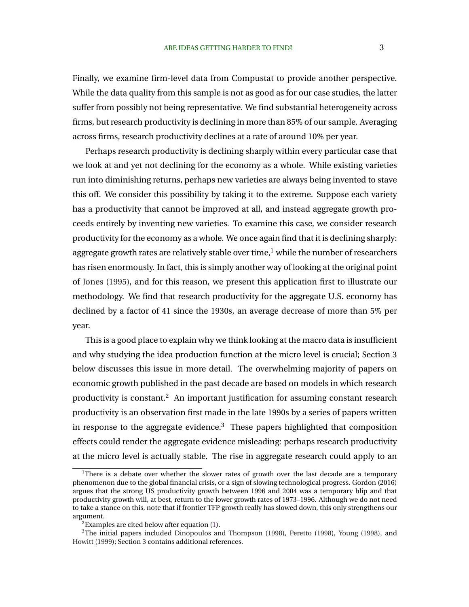Finally, we examine firm-level data from Compustat to provide another perspective. While the data quality from this sample is not as good as for our case studies, the latter suffer from possibly not being representative. We find substantial heterogeneity across firms, but research productivity is declining in more than 85% of our sample. Averaging across firms, research productivity declines at a rate of around 10% per year.

Perhaps research productivity is declining sharply within every particular case that we look at and yet not declining for the economy as a whole. While existing varieties run into diminishing returns, perhaps new varieties are always being invented to stave this off. We consider this possibility by taking it to the extreme. Suppose each variety has a productivity that cannot be improved at all, and instead aggregate growth proceeds entirely by inventing new varieties. To examine this case, we consider research productivity for the economy as a whole. We once again find that it is declining sharply: aggregate growth rates are relatively stable over time, $1$  while the number of researchers has risen enormously. In fact, this is simply another way of looking at the original point of [Jones](#page-51-0) [\(1995\)](#page-51-0), and for this reason, we present this application first to illustrate our methodology. We find that research productivity for the aggregate U.S. economy has declined by a factor of 41 since the 1930s, an average decrease of more than 5% per year.

This is a good place to explain why we think looking at the macro data is insufficient and why studying the idea production function at the micro level is crucial; Section 3 below discusses this issue in more detail. The overwhelming majority of papers on economic growth published in the past decade are based on models in which research productivity is constant.<sup>2</sup> An important justification for assuming constant research productivity is an observation first made in the late 1990s by a series of papers written in response to the aggregate evidence.<sup>3</sup> These papers highlighted that composition effects could render the aggregate evidence misleading: perhaps research productivity at the micro level is actually stable. The rise in aggregate research could apply to an

<sup>&</sup>lt;sup>1</sup>There is a debate over whether the slower rates of growth over the last decade are a temporary phenomenon due to the global financial crisis, or a sign of slowing technological progress. Gordon (2016) argues that the strong US productivity growth between 1996 and 2004 was a temporary blip and that productivity growth will, at best, return to the lower growth rates of 1973–1996. Although we do not need to take a stance on this, note that if frontier TFP growth really has slowed down, this only strengthens our argument.

 $2$ Examples are cited below after equation [\(1\)](#page-5-0).

<sup>&</sup>lt;sup>3</sup>The initial papers included [Dinopoulos and Thompson](#page-50-0) [\(1998\)](#page-53-0), [Peretto](#page-52-0) (1998), [Young](#page-53-0) (1998), and [Howitt](#page-51-0) [\(1999\)](#page-51-0); Section 3 contains additional references.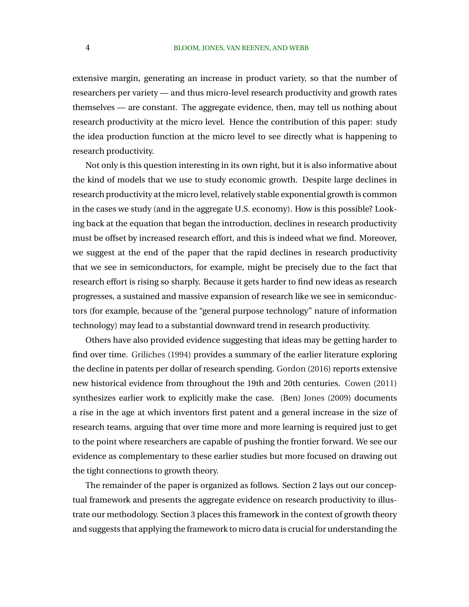extensive margin, generating an increase in product variety, so that the number of researchers per variety — and thus micro-level research productivity and growth rates themselves — are constant. The aggregate evidence, then, may tell us nothing about research productivity at the micro level. Hence the contribution of this paper: study the idea production function at the micro level to see directly what is happening to research productivity.

Not only is this question interesting in its own right, but it is also informative about the kind of models that we use to study economic growth. Despite large declines in research productivity at the micro level, relatively stable exponential growth is common in the cases we study (and in the aggregate U.S. economy). How is this possible? Looking back at the equation that began the introduction, declines in research productivity must be offset by increased research effort, and this is indeed what we find. Moreover, we suggest at the end of the paper that the rapid declines in research productivity that we see in semiconductors, for example, might be precisely due to the fact that research effort is rising so sharply. Because it gets harder to find new ideas as research progresses, a sustained and massive expansion of research like we see in semiconductors (for example, because of the "general purpose technology" nature of information technology) may lead to a substantial downward trend in research productivity.

Others have also provided evidence suggesting that ideas may be getting harder to find over time. [Griliches](#page-50-0) [\(1994\)](#page-50-0) provides a summary of the earlier literature exploring the decline in patents per dollar of research spending. [Gordon](#page-50-0) [\(2016\)](#page-50-0) reports extensive new historical evidence from throughout the 19th and 20th centuries. [Cowen](#page-48-0) [\(2011\)](#page-48-0) synthesizes earlier work to explicitly make the case. (Ben) [Jones](#page-51-0) [\(2009\)](#page-51-0) documents a rise in the age at which inventors first patent and a general increase in the size of research teams, arguing that over time more and more learning is required just to get to the point where researchers are capable of pushing the frontier forward. We see our evidence as complementary to these earlier studies but more focused on drawing out the tight connections to growth theory.

The remainder of the paper is organized as follows. Section 2 lays out our conceptual framework and presents the aggregate evidence on research productivity to illustrate our methodology. Section 3 places this framework in the context of growth theory and suggests that applying the framework to micro data is crucial for understanding the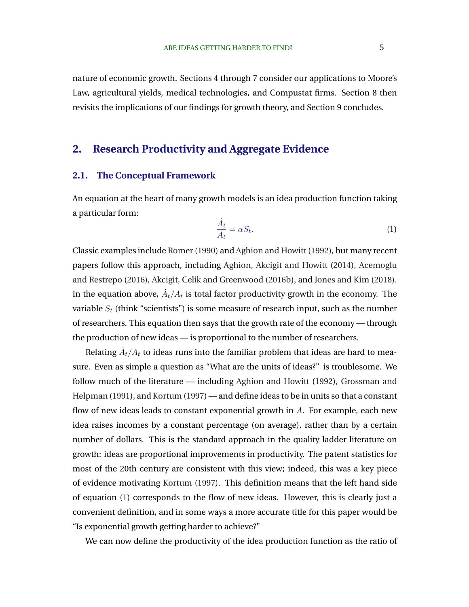<span id="page-5-0"></span>nature of economic growth. Sections 4 through 7 consider our applications to Moore's Law, agricultural yields, medical technologies, and Compustat firms. Section 8 then revisits the implications of our findings for growth theory, and Section 9 concludes.

## **2. Research Productivity and Aggregate Evidence**

### **2.1. The Conceptual Framework**

An equation at the heart of many growth models is an idea production function taking a particular form:

$$
\frac{\dot{A}_t}{A_t} = \alpha S_t. \tag{1}
$$

Classic examples include [Romer\(1990\)](#page-52-0) and [Aghion and Howitt](#page-48-0) [\(1992\)](#page-48-0), but many recent papers follow this approach, including [Aghion, Akcigit and Howitt](#page-48-0) [\(2014\)](#page-48-0), [Acemoglu](#page-48-0) [and Restrepo](#page-48-0) [\(2016\)](#page-48-0), [Akcigit, Celik and Greenwood](#page-48-0) [\(2016b\)](#page-48-0), and [Jones and Kim](#page-51-0) [\(2018\)](#page-51-0). In the equation above,  $\dot{A}_t/A_t$  is total factor productivity growth in the economy. The variable  $S_t$  (think "scientists") is some measure of research input, such as the number of researchers. This equation then says that the growth rate of the economy — through the production of new ideas — is proportional to the number of researchers.

Relating  $\dot{A}_t/A_t$  to ideas runs into the familiar problem that ideas are hard to measure. Even as simple a question as "What are the units of ideas?" is troublesome. We follow much of the literature — including [Aghion and Howitt](#page-48-0) [\(1992\)](#page-48-0), [Grossman and](#page-50-0) [Helpman](#page-50-0) [\(1991\)](#page-50-0), and [Kortum](#page-51-0) [\(1997\)](#page-51-0) — and define ideas to be in units so that a constant flow of new ideas leads to constant exponential growth in  $A$ . For example, each new idea raises incomes by a constant percentage (on average), rather than by a certain number of dollars. This is the standard approach in the quality ladder literature on growth: ideas are proportional improvements in productivity. The patent statistics for most of the 20th century are consistent with this view; indeed, this was a key piece of evidence motivating [Kortum](#page-51-0) [\(1997\)](#page-51-0). This definition means that the left hand side of equation (1) corresponds to the flow of new ideas. However, this is clearly just a convenient definition, and in some ways a more accurate title for this paper would be "Is exponential growth getting harder to achieve?"

We can now define the productivity of the idea production function as the ratio of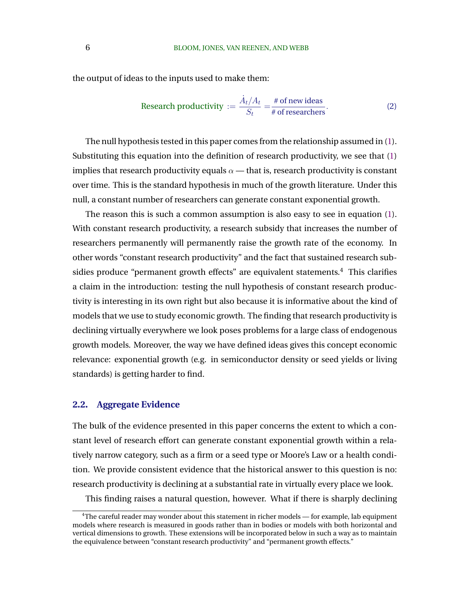the output of ideas to the inputs used to make them:

Research productivity := 
$$
\frac{\dot{A}_t/A_t}{S_t} = \frac{\text{\# of new ideas}}{\text{\# of researchers}}.
$$
 (2)

The null hypothesis tested in this paper comes from the relationship assumed in [\(1\)](#page-5-0). Substituting this equation into the definition of research productivity, we see that [\(1\)](#page-5-0) implies that research productivity equals  $\alpha$  — that is, research productivity is constant over time. This is the standard hypothesis in much of the growth literature. Under this null, a constant number of researchers can generate constant exponential growth.

The reason this is such a common assumption is also easy to see in equation [\(1\)](#page-5-0). With constant research productivity, a research subsidy that increases the number of researchers permanently will permanently raise the growth rate of the economy. In other words "constant research productivity" and the fact that sustained research subsidies produce "permanent growth effects" are equivalent statements.<sup>4</sup> This clarifies a claim in the introduction: testing the null hypothesis of constant research productivity is interesting in its own right but also because it is informative about the kind of models that we use to study economic growth. The finding that research productivity is declining virtually everywhere we look poses problems for a large class of endogenous growth models. Moreover, the way we have defined ideas gives this concept economic relevance: exponential growth (e.g. in semiconductor density or seed yields or living standards) is getting harder to find.

### **2.2. Aggregate Evidence**

The bulk of the evidence presented in this paper concerns the extent to which a constant level of research effort can generate constant exponential growth within a relatively narrow category, such as a firm or a seed type or Moore's Law or a health condition. We provide consistent evidence that the historical answer to this question is no: research productivity is declining at a substantial rate in virtually every place we look.

This finding raises a natural question, however. What if there is sharply declining

<sup>&</sup>lt;sup>4</sup>The careful reader may wonder about this statement in richer models — for example, lab equipment models where research is measured in goods rather than in bodies or models with both horizontal and vertical dimensions to growth. These extensions will be incorporated below in such a way as to maintain the equivalence between "constant research productivity" and "permanent growth effects."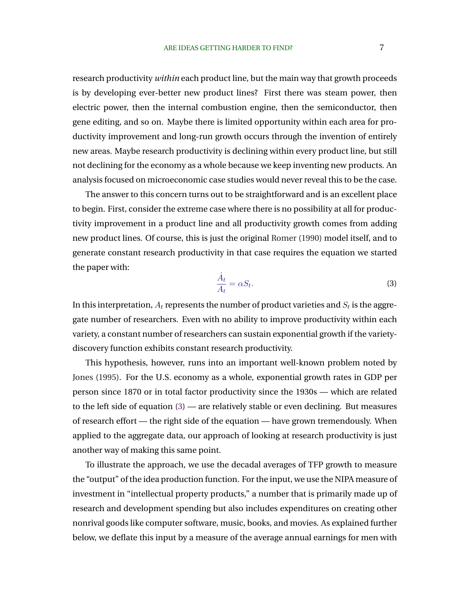research productivity *within* each product line, but the main way that growth proceeds is by developing ever-better new product lines? First there was steam power, then electric power, then the internal combustion engine, then the semiconductor, then gene editing, and so on. Maybe there is limited opportunity within each area for productivity improvement and long-run growth occurs through the invention of entirely new areas. Maybe research productivity is declining within every product line, but still not declining for the economy as a whole because we keep inventing new products. An analysis focused on microeconomic case studies would never reveal this to be the case.

The answer to this concern turns out to be straightforward and is an excellent place to begin. First, consider the extreme case where there is no possibility at all for productivity improvement in a product line and all productivity growth comes from adding new product lines. Of course, this is just the original [Romer](#page-52-0) [\(1990\)](#page-52-0) model itself, and to generate constant research productivity in that case requires the equation we started the paper with:

$$
\frac{\dot{A}_t}{A_t} = \alpha S_t.
$$
\n(3)

In this interpretation,  $A_t$  represents the number of product varieties and  $S_t$  is the aggregate number of researchers. Even with no ability to improve productivity within each variety, a constant number of researchers can sustain exponential growth if the varietydiscovery function exhibits constant research productivity.

This hypothesis, however, runs into an important well-known problem noted by [Jones](#page-51-0) [\(1995\)](#page-51-0). For the U.S. economy as a whole, exponential growth rates in GDP per person since 1870 or in total factor productivity since the 1930s — which are related to the left side of equation (3) — are relatively stable or even declining. But measures of research effort — the right side of the equation — have grown tremendously. When applied to the aggregate data, our approach of looking at research productivity is just another way of making this same point.

To illustrate the approach, we use the decadal averages of TFP growth to measure the "output" of the idea production function. For the input, we use the NIPA measure of investment in "intellectual property products," a number that is primarily made up of research and development spending but also includes expenditures on creating other nonrival goods like computer software, music, books, and movies. As explained further below, we deflate this input by a measure of the average annual earnings for men with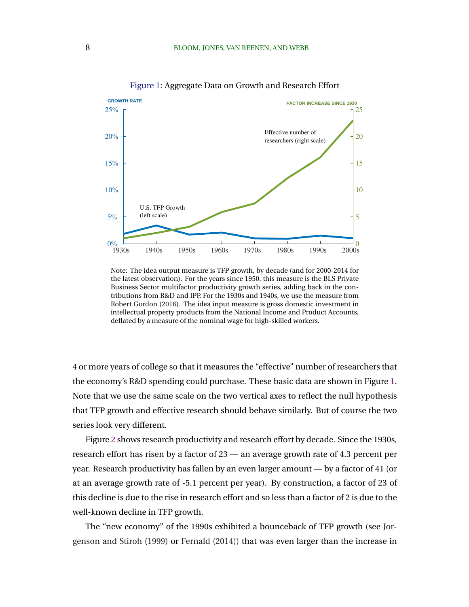<span id="page-8-0"></span>

Figure 1: Aggregate Data on Growth and Research Effort

Note: The idea output measure is TFP growth, by decade (and for 2000-2014 for the latest observation). For the years since 1950, this measure is the BLS Private Business Sector multifactor productivity growth series, adding back in the contributions from R&D and IPP. For the 1930s and 1940s, we use the measure from Robert [Gordon](#page-50-0) [\(2016\)](#page-50-0). The idea input measure is gross domestic investment in intellectual property products from the National Income and Product Accounts, deflated by a measure of the nominal wage for high-skilled workers.

4 or more years of college so that it measures the "effective" number of researchers that the economy's R&D spending could purchase. These basic data are shown in Figure 1. Note that we use the same scale on the two vertical axes to reflect the null hypothesis that TFP growth and effective research should behave similarly. But of course the two series look very different.

Figure [2](#page-9-0) shows research productivity and research effort by decade. Since the 1930s, research effort has risen by a factor of 23 — an average growth rate of 4.3 percent per year. Research productivity has fallen by an even larger amount — by a factor of 41 (or at an average growth rate of -5.1 percent per year). By construction, a factor of 23 of this decline is due to the rise in research effort and so less than a factor of 2 is due to the well-known decline in TFP growth.

The "new economy" of the 1990s exhibited a bounceback of TFP growth (see [Jor](#page-51-0)[genson and Stiroh](#page-51-0) [\(1999\)](#page-51-0) or [Fernald](#page-50-0) [\(2014\)](#page-50-0)) that was even larger than the increase in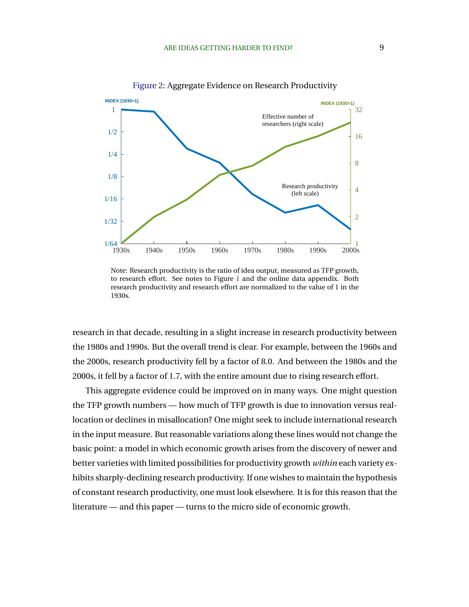<span id="page-9-0"></span>

Figure 2: Aggregate Evidence on Research Productivity

Note: Research productivity is the ratio of idea output, measured as TFP growth, to research effort. See notes to Figure [1](#page-8-0) and the online data appendix. Both research productivity and research effort are normalized to the value of 1 in the 1930s.

research in that decade, resulting in a slight increase in research productivity between the 1980s and 1990s. But the overall trend is clear. For example, between the 1960s and the 2000s, research productivity fell by a factor of 8.0. And between the 1980s and the 2000s, it fell by a factor of 1.7, with the entire amount due to rising research effort.

This aggregate evidence could be improved on in many ways. One might question the TFP growth numbers — how much of TFP growth is due to innovation versus reallocation or declines in misallocation? One might seek to include international research in the input measure. But reasonable variations along these lines would not change the basic point: a model in which economic growth arises from the discovery of newer and better varieties with limited possibilities for productivity growth *within* each variety exhibits sharply-declining research productivity. If one wishes to maintain the hypothesis of constant research productivity, one must look elsewhere. It is for this reason that the literature — and this paper — turns to the micro side of economic growth.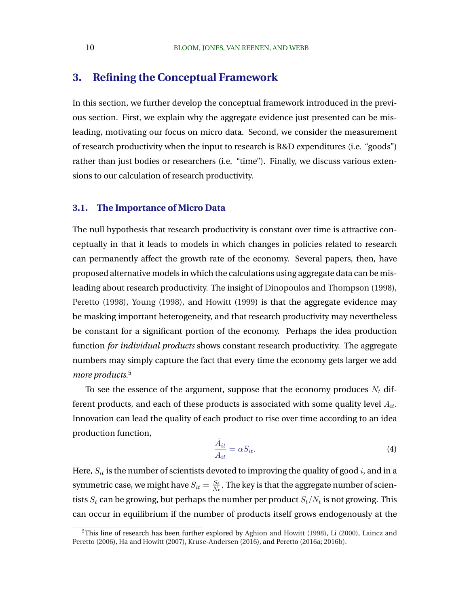# <span id="page-10-0"></span>**3. Refining the Conceptual Framework**

In this section, we further develop the conceptual framework introduced in the previous section. First, we explain why the aggregate evidence just presented can be misleading, motivating our focus on micro data. Second, we consider the measurement of research productivity when the input to research is R&D expenditures (i.e. "goods") rather than just bodies or researchers (i.e. "time"). Finally, we discuss various extensions to our calculation of research productivity.

### **3.1. The Importance of Micro Data**

The null hypothesis that research productivity is constant over time is attractive conceptually in that it leads to models in which changes in policies related to research can permanently affect the growth rate of the economy. Several papers, then, have proposed alternative models in which the calculations using aggregate data can be misleading about research productivity. The insight of [Dinopoulos and Thompson](#page-50-0) [\(1998\)](#page-50-0), [Peretto](#page-52-0) [\(1998\)](#page-52-0), [Young](#page-53-0) [\(1998\)](#page-53-0), and [Howitt](#page-51-0) [\(1999\)](#page-51-0) is that the aggregate evidence may be masking important heterogeneity, and that research productivity may nevertheless be constant for a significant portion of the economy. Perhaps the idea production function *for individual products* shows constant research productivity. The aggregate numbers may simply capture the fact that every time the economy gets larger we add *more products*. 5

To see the essence of the argument, suppose that the economy produces  $N_t$  different products, and each of these products is associated with some quality level  $A_{it}$ . Innovation can lead the quality of each product to rise over time according to an idea production function,

$$
\frac{\dot{A}_{it}}{A_{it}} = \alpha S_{it}.\tag{4}
$$

Here,  $S_{it}$  is the number of scientists devoted to improving the quality of good i, and in a symmetric case, we might have  $S_{it} = \frac{S_t}{N}$  $\frac{S_t}{N_t}.$  The key is that the aggregate number of scientists  $S_t$  can be growing, but perhaps the number per product  $S_t/N_t$  is not growing. This can occur in equilibrium if the number of products itself grows endogenously at the

<sup>&</sup>lt;sup>5</sup>This line of research has been further explored by [Aghion and Howitt](#page-48-0) [\(1998\)](#page-48-0), [Li](#page-52-0) [\(2000\)](#page-52-0), [Laincz and](#page-52-0) [Peretto](#page-52-0) [\(2006\)](#page-52-0), [Ha and Howitt](#page-50-0) [\(2007\)](#page-50-0), [Kruse-Andersen](#page-51-0) [\(2016\)](#page-51-0), and Peretto [\(2016a;](#page-52-0) [2016b\)](#page-52-0).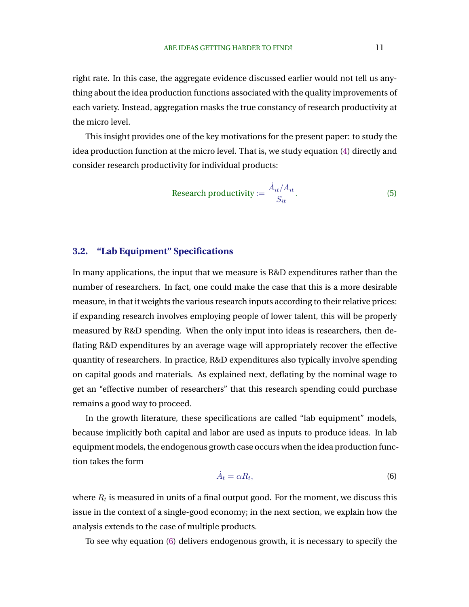<span id="page-11-0"></span>right rate. In this case, the aggregate evidence discussed earlier would not tell us anything about the idea production functions associated with the quality improvements of each variety. Instead, aggregation masks the true constancy of research productivity at the micro level.

This insight provides one of the key motivations for the present paper: to study the idea production function at the micro level. That is, we study equation [\(4\)](#page-10-0) directly and consider research productivity for individual products:

$$
\text{Research productivity} := \frac{\dot{A}_{it}/A_{it}}{S_{it}}.\tag{5}
$$

### **3.2. "Lab Equipment" Specifications**

In many applications, the input that we measure is R&D expenditures rather than the number of researchers. In fact, one could make the case that this is a more desirable measure, in that it weights the various research inputs according to their relative prices: if expanding research involves employing people of lower talent, this will be properly measured by R&D spending. When the only input into ideas is researchers, then deflating R&D expenditures by an average wage will appropriately recover the effective quantity of researchers. In practice, R&D expenditures also typically involve spending on capital goods and materials. As explained next, deflating by the nominal wage to get an "effective number of researchers" that this research spending could purchase remains a good way to proceed.

In the growth literature, these specifications are called "lab equipment" models, because implicitly both capital and labor are used as inputs to produce ideas. In lab equipment models, the endogenous growth case occurs when the idea production function takes the form

$$
\dot{A}_t = \alpha R_t,\tag{6}
$$

where  $R_t$  is measured in units of a final output good. For the moment, we discuss this issue in the context of a single-good economy; in the next section, we explain how the analysis extends to the case of multiple products.

To see why equation (6) delivers endogenous growth, it is necessary to specify the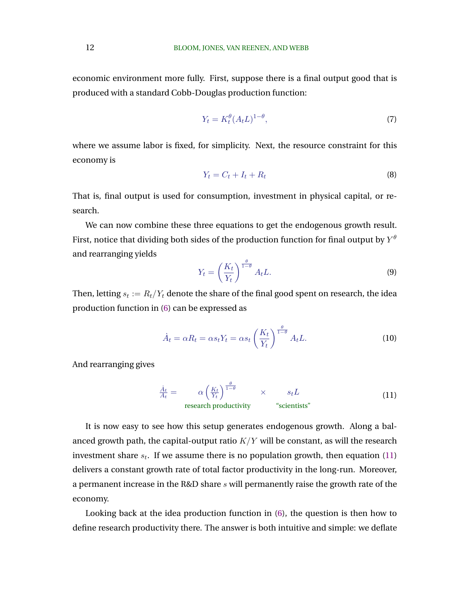economic environment more fully. First, suppose there is a final output good that is produced with a standard Cobb-Douglas production function:

$$
Y_t = K_t^{\theta} (A_t L)^{1-\theta},\tag{7}
$$

where we assume labor is fixed, for simplicity. Next, the resource constraint for this economy is

$$
Y_t = C_t + I_t + R_t \tag{8}
$$

That is, final output is used for consumption, investment in physical capital, or research.

We can now combine these three equations to get the endogenous growth result. First, notice that dividing both sides of the production function for final output by  $Y^\theta$ and rearranging yields

$$
Y_t = \left(\frac{K_t}{Y_t}\right)^{\frac{\theta}{1-\theta}} A_t L.
$$
\n(9)

Then, letting  $s_t := R_t/Y_t$  denote the share of the final good spent on research, the idea production function in [\(6\)](#page-11-0) can be expressed as

$$
\dot{A}_t = \alpha R_t = \alpha s_t Y_t = \alpha s_t \left(\frac{K_t}{Y_t}\right)^{\frac{\theta}{1-\theta}} A_t L.
$$
 (10)

And rearranging gives

$$
\frac{\dot{A}_t}{A_t} = \alpha \left(\frac{K_t}{Y_t}\right)^{\frac{\theta}{1-\theta}} \times s_t L
$$
\nresearch productivity

\n"scientists"

It is now easy to see how this setup generates endogenous growth. Along a balanced growth path, the capital-output ratio  $K/Y$  will be constant, as will the research investment share  $s_t$ . If we assume there is no population growth, then equation  $(11)$ delivers a constant growth rate of total factor productivity in the long-run. Moreover, a permanent increase in the R&D share s will permanently raise the growth rate of the economy.

Looking back at the idea production function in [\(6\)](#page-11-0), the question is then how to define research productivity there. The answer is both intuitive and simple: we deflate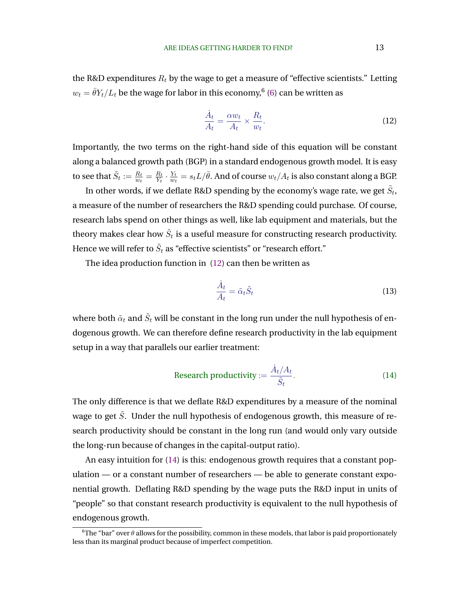<span id="page-13-0"></span>the R&D expenditures  $R_t$  by the wage to get a measure of "effective scientists." Letting  $w_t = \bar{\theta} Y_t/L_t$  be the wage for labor in this economy, $^6$  [\(6\)](#page-11-0) can be written as

$$
\frac{\dot{A}_t}{A_t} = \frac{\alpha w_t}{A_t} \times \frac{R_t}{w_t}.\tag{12}
$$

Importantly, the two terms on the right-hand side of this equation will be constant along a balanced growth path (BGP) in a standard endogenous growth model. It is easy to see that  $\tilde{S}_t := \frac{R_t}{w_t} = \frac{R_t}{Y_t}$  $\frac{R_t}{Y_t} \cdot \frac{Y_t}{w_t}$  $\frac{Y_t}{w_t} = s_t L / \bar{\theta}.$  And of course  $w_t / A_t$  is also constant along a BGP.

In other words, if we deflate R&D spending by the economy's wage rate, we get  $\tilde{S}_t$ , a measure of the number of researchers the R&D spending could purchase. Of course, research labs spend on other things as well, like lab equipment and materials, but the theory makes clear how  $\tilde{S}_t$  is a useful measure for constructing research productivity. Hence we will refer to  $\tilde{S}_t$  as "effective scientists" or "research effort."

The idea production function in (12) can then be written as

$$
\frac{\dot{A}_t}{A_t} = \tilde{\alpha}_t \tilde{S}_t \tag{13}
$$

where both  $\tilde{\alpha}_t$  and  $\tilde{S}_t$  will be constant in the long run under the null hypothesis of endogenous growth. We can therefore define research productivity in the lab equipment setup in a way that parallels our earlier treatment:

Research productivity := 
$$
\frac{\dot{A}_t/A_t}{\tilde{S}_t}.
$$
 (14)

The only difference is that we deflate R&D expenditures by a measure of the nominal wage to get  $\tilde{S}$ . Under the null hypothesis of endogenous growth, this measure of research productivity should be constant in the long run (and would only vary outside the long-run because of changes in the capital-output ratio).

An easy intuition for (14) is this: endogenous growth requires that a constant population — or a constant number of researchers — be able to generate constant exponential growth. Deflating R&D spending by the wage puts the R&D input in units of "people" so that constant research productivity is equivalent to the null hypothesis of endogenous growth.

<sup>&</sup>lt;sup>6</sup>The "bar" over  $\theta$  allows for the possibility, common in these models, that labor is paid proportionately less than its marginal product because of imperfect competition.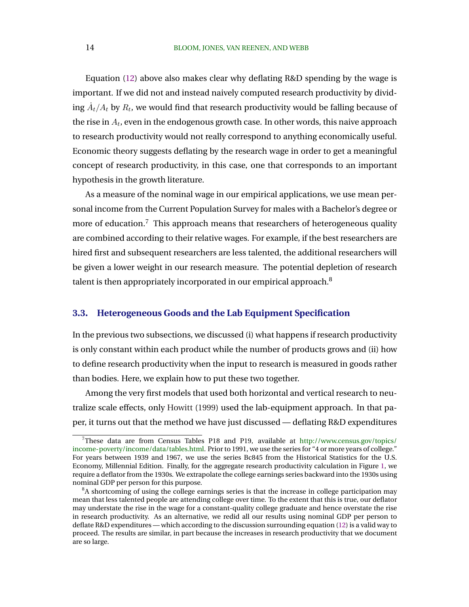Equation [\(12\)](#page-13-0) above also makes clear why deflating R&D spending by the wage is important. If we did not and instead naively computed research productivity by dividing  $\dot{A}_t/A_t$  by  $R_t$ , we would find that research productivity would be falling because of the rise in  $A_t$ , even in the endogenous growth case. In other words, this naive approach to research productivity would not really correspond to anything economically useful. Economic theory suggests deflating by the research wage in order to get a meaningful concept of research productivity, in this case, one that corresponds to an important hypothesis in the growth literature.

As a measure of the nominal wage in our empirical applications, we use mean personal income from the Current Population Survey for males with a Bachelor's degree or more of education.<sup>7</sup> This approach means that researchers of heterogeneous quality are combined according to their relative wages. For example, if the best researchers are hired first and subsequent researchers are less talented, the additional researchers will be given a lower weight in our research measure. The potential depletion of research talent is then appropriately incorporated in our empirical approach.<sup>8</sup>

### **3.3. Heterogeneous Goods and the Lab Equipment Specification**

In the previous two subsections, we discussed (i) what happens if research productivity is only constant within each product while the number of products grows and (ii) how to define research productivity when the input to research is measured in goods rather than bodies. Here, we explain how to put these two together.

Among the very first models that used both horizontal and vertical research to neutralize scale effects, only [Howitt](#page-51-0) [\(1999\)](#page-51-0) used the lab-equipment approach. In that paper, it turns out that the method we have just discussed — deflating R&D expenditures

<sup>&</sup>lt;sup>7</sup>These data are from Census Tables P18 and P19, available at [http://www.census.gov/topics/](http://www.census.gov/topics/income-poverty/income/data/tables.html) [income-poverty/income/data/tables.html.](http://www.census.gov/topics/income-poverty/income/data/tables.html) Prior to 1991, we use the series for "4 or more years of college." For years between 1939 and 1967, we use the series Bc845 from the Historical Statistics for the U.S. Economy, Millennial Edition. Finally, for the aggregate research productivity calculation in Figure [1,](#page-8-0) we require a deflator from the 1930s. We extrapolate the college earnings series backward into the 1930s using nominal GDP per person for this purpose.

<sup>&</sup>lt;sup>8</sup>A shortcoming of using the college earnings series is that the increase in college participation may mean that less talented people are attending college over time. To the extent that this is true, our deflator may understate the rise in the wage for a constant-quality college graduate and hence overstate the rise in research productivity. As an alternative, we redid all our results using nominal GDP per person to deflate R&D expenditures — which according to the discussion surrounding equation [\(12\)](#page-13-0) is a valid way to proceed. The results are similar, in part because the increases in research productivity that we document are so large.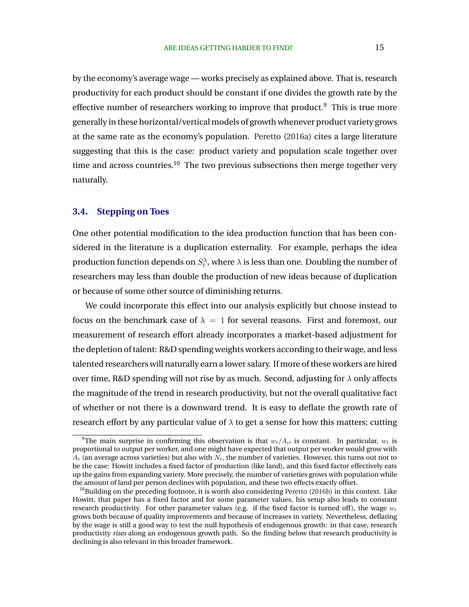<span id="page-15-0"></span>by the economy's average wage — works precisely as explained above. That is, research productivity for each product should be constant if one divides the growth rate by the effective number of researchers working to improve that product.<sup>9</sup> This is true more generally in these horizontal/vertical models of growth whenever product variety grows at the same rate as the economy's population. [Peretto](#page-52-0) [\(2016a\)](#page-52-0) cites a large literature suggesting that this is the case: product variety and population scale together over time and across countries.<sup>10</sup> The two previous subsections then merge together very naturally.

### **3.4. Stepping on Toes**

One other potential modification to the idea production function that has been considered in the literature is a duplication externality. For example, perhaps the idea production function depends on  $S_t^\lambda$ , where  $\lambda$  is less than one. Doubling the number of researchers may less than double the production of new ideas because of duplication or because of some other source of diminishing returns.

We could incorporate this effect into our analysis explicitly but choose instead to focus on the benchmark case of  $\lambda = 1$  for several reasons. First and foremost, our measurement of research effort already incorporates a market-based adjustment for the depletion of talent: R&D spending weights workers according to their wage, and less talented researchers will naturally earn a lower salary. If more of these workers are hired over time, R&D spending will not rise by as much. Second, adjusting for  $\lambda$  only affects the magnitude of the trend in research productivity, but not the overall qualitative fact of whether or not there is a downward trend. It is easy to deflate the growth rate of research effort by any particular value of  $\lambda$  to get a sense for how this matters; cutting

<sup>&</sup>lt;sup>9</sup>The main surprise in confirming this observation is that  $w_t/A_{it}$  is constant. In particular,  $w_t$  is proportional to output per worker, and one might have expected that output per worker would grow with  $A_t$  (an average across varieties) but also with  $N_t$ , the number of varieties. However, this turns out not to be the case: Howitt includes a fixed factor of production (like land), and this fixed factor effectively eats up the gains from expanding variety. More precisely, the number of varieties grows with population while the amount of land per person declines with population, and these two effects exactly offset.

 $10$ Building on the preceding footnote, it is worth also considering [Peretto](#page-52-0) [\(2016b\)](#page-52-0) in this context. Like Howitt, that paper has a fixed factor and for some parameter values, his setup also leads to constant research productivity. For other parameter values (e.g. if the fixed factor is turned off), the wage  $w_t$ grows both because of quality improvements and because of increases in variety. Nevertheless, deflating by the wage is still a good way to test the null hypothesis of endogenous growth: in that case, research productivity *rises* along an endogenous growth path. So the finding below that research productivity is declining is also relevant in this broader framework.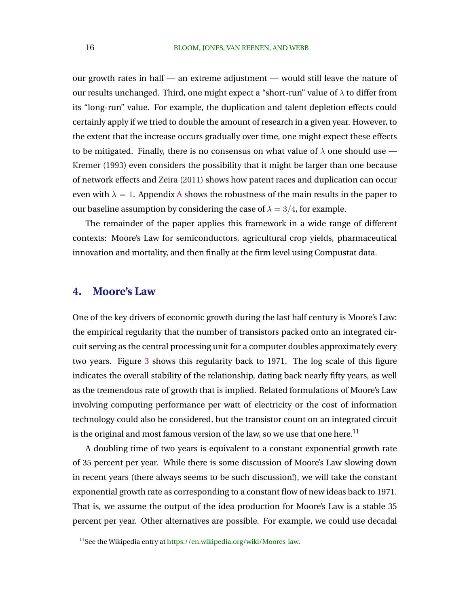our growth rates in half — an extreme adjustment — would still leave the nature of our results unchanged. Third, one might expect a "short-run" value of  $\lambda$  to differ from its "long-run" value. For example, the duplication and talent depletion effects could certainly apply if we tried to double the amount of research in a given year. However, to the extent that the increase occurs gradually over time, one might expect these effects to be mitigated. Finally, there is no consensus on what value of  $\lambda$  one should use — [Kremer](#page-51-0) [\(1993\)](#page-51-0) even considers the possibility that it might be larger than one because of network effects and [Zeira](#page-53-0) [\(2011\)](#page-53-0) shows how patent races and duplication can occur even with  $\lambda = 1$ . [A](#page-47-0)ppendix A shows the robustness of the main results in the paper to our baseline assumption by considering the case of  $\lambda = 3/4$ , for example.

The remainder of the paper applies this framework in a wide range of different contexts: Moore's Law for semiconductors, agricultural crop yields, pharmaceutical innovation and mortality, and then finally at the firm level using Compustat data.

### **4. Moore's Law**

One of the key drivers of economic growth during the last half century is Moore's Law: the empirical regularity that the number of transistors packed onto an integrated circuit serving as the central processing unit for a computer doubles approximately every two years. Figure [3](#page-17-0) shows this regularity back to 1971. The log scale of this figure indicates the overall stability of the relationship, dating back nearly fifty years, as well as the tremendous rate of growth that is implied. Related formulations of Moore's Law involving computing performance per watt of electricity or the cost of information technology could also be considered, but the transistor count on an integrated circuit is the original and most famous version of the law, so we use that one here.<sup>11</sup>

A doubling time of two years is equivalent to a constant exponential growth rate of 35 percent per year. While there is some discussion of Moore's Law slowing down in recent years (there always seems to be such discussion!), we will take the constant exponential growth rate as corresponding to a constant flow of new ideas back to 1971. That is, we assume the output of the idea production for Moore's Law is a stable 35 percent per year. Other alternatives are possible. For example, we could use decadal

<sup>&</sup>lt;sup>11</sup>See the Wikipedia entry at [https://en.wikipedia.org/wiki/Moores](https://en.wikipedia.org/wiki/Moores_law)\_law.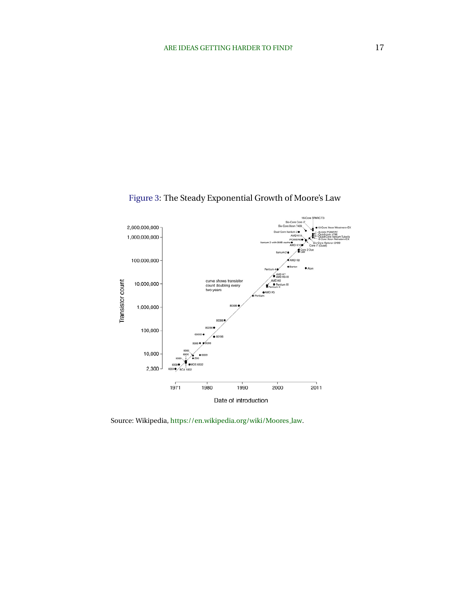

<span id="page-17-0"></span>Figure 3: The Steady Exponential Growth of Moore's Law

Source: Wikipedia, [https://en.wikipedia.org/wiki/Moores](https://en.wikipedia.org/wiki/Moores_law) law.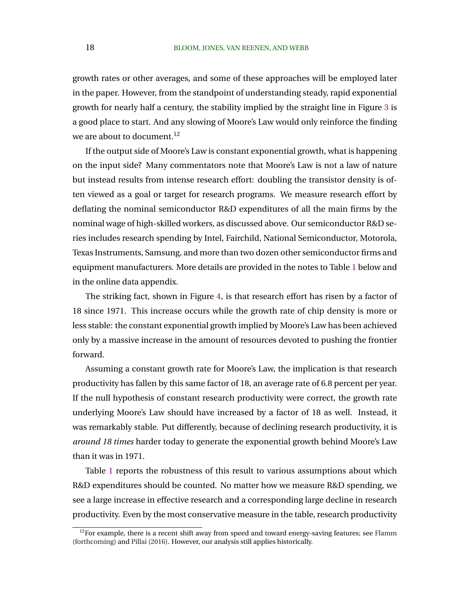growth rates or other averages, and some of these approaches will be employed later in the paper. However, from the standpoint of understanding steady, rapid exponential growth for nearly half a century, the stability implied by the straight line in Figure [3](#page-17-0) is a good place to start. And any slowing of Moore's Law would only reinforce the finding we are about to document.<sup>12</sup>

If the output side of Moore's Law is constant exponential growth, what is happening on the input side? Many commentators note that Moore's Law is not a law of nature but instead results from intense research effort: doubling the transistor density is often viewed as a goal or target for research programs. We measure research effort by deflating the nominal semiconductor R&D expenditures of all the main firms by the nominal wage of high-skilled workers, as discussed above. Our semiconductor R&D series includes research spending by Intel, Fairchild, National Semiconductor, Motorola, Texas Instruments, Samsung, and more than two dozen other semiconductor firms and equipment manufacturers. More details are provided in the notes to Table [1](#page-20-0) below and in the online data appendix.

The striking fact, shown in Figure [4,](#page-19-0) is that research effort has risen by a factor of 18 since 1971. This increase occurs while the growth rate of chip density is more or less stable: the constant exponential growth implied by Moore's Law has been achieved only by a massive increase in the amount of resources devoted to pushing the frontier forward.

Assuming a constant growth rate for Moore's Law, the implication is that research productivity has fallen by this same factor of 18, an average rate of 6.8 percent per year. If the null hypothesis of constant research productivity were correct, the growth rate underlying Moore's Law should have increased by a factor of 18 as well. Instead, it was remarkably stable. Put differently, because of declining research productivity, it is *around 18 times* harder today to generate the exponential growth behind Moore's Law than it was in 1971.

Table [1](#page-20-0) reports the robustness of this result to various assumptions about which R&D expenditures should be counted. No matter how we measure R&D spending, we see a large increase in effective research and a corresponding large decline in research productivity. Even by the most conservative measure in the table, research productivity

 $12$ For example, there is a recent shift away from speed and toward energy-saving features; see [Flamm](#page-50-0) [\(forthcoming\)](#page-50-0) and [Pillai](#page-52-0) [\(2016\)](#page-52-0). However, our analysis still applies historically.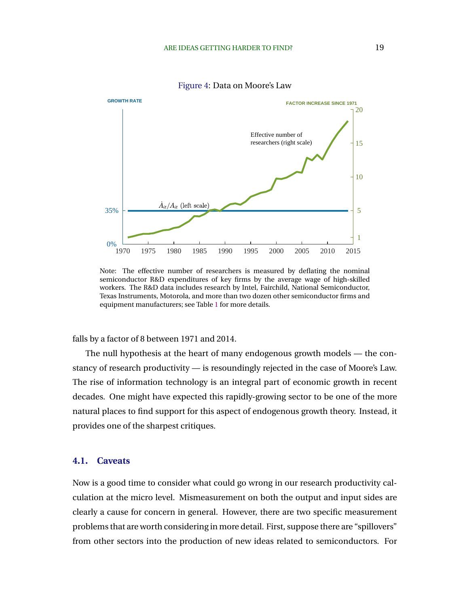<span id="page-19-0"></span>

Figure 4: Data on Moore's Law

Note: The effective number of researchers is measured by deflating the nominal semiconductor R&D expenditures of key firms by the average wage of high-skilled workers. The R&D data includes research by Intel, Fairchild, National Semiconductor, Texas Instruments, Motorola, and more than two dozen other semiconductor firms and equipment manufacturers; see Table [1](#page-20-0) for more details.

falls by a factor of 8 between 1971 and 2014.

The null hypothesis at the heart of many endogenous growth models — the constancy of research productivity — is resoundingly rejected in the case of Moore's Law. The rise of information technology is an integral part of economic growth in recent decades. One might have expected this rapidly-growing sector to be one of the more natural places to find support for this aspect of endogenous growth theory. Instead, it provides one of the sharpest critiques.

### **4.1. Caveats**

Now is a good time to consider what could go wrong in our research productivity calculation at the micro level. Mismeasurement on both the output and input sides are clearly a cause for concern in general. However, there are two specific measurement problems that are worth considering in more detail. First, suppose there are "spillovers" from other sectors into the production of new ideas related to semiconductors. For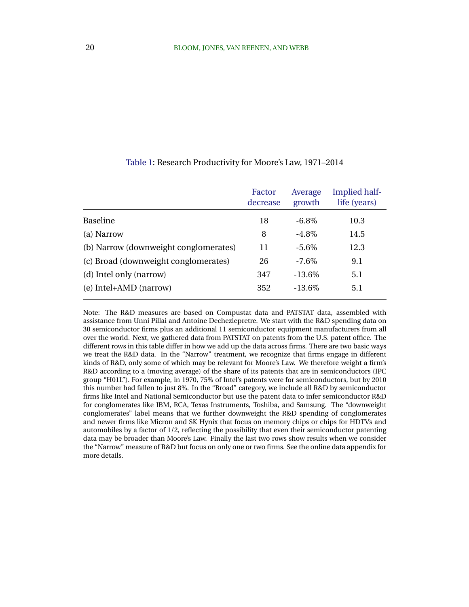|                                       | Factor<br>decrease | Average<br>growth | Implied half-<br>life (years) |
|---------------------------------------|--------------------|-------------------|-------------------------------|
| Baseline                              | 18                 | $-6.8\%$          | 10.3                          |
| (a) Narrow                            | 8                  | $-4.8\%$          | 14.5                          |
| (b) Narrow (downweight conglomerates) | 11                 | $-5.6\%$          | 12.3                          |
| (c) Broad (downweight conglomerates)  | 26                 | $-7.6\%$          | 9.1                           |
| (d) Intel only (narrow)               | 347                | $-13.6\%$         | 5.1                           |
| (e) Intel+AMD (narrow)                | 352                | $-13.6\%$         | 5.1                           |

#### <span id="page-20-0"></span>Table 1: Research Productivity for Moore's Law, 1971–2014

Note: The R&D measures are based on Compustat data and PATSTAT data, assembled with assistance from Unni Pillai and Antoine Dechezlepretre. We start with the R&D spending data on 30 semiconductor firms plus an additional 11 semiconductor equipment manufacturers from all over the world. Next, we gathered data from PATSTAT on patents from the U.S. patent office. The different rows in this table differ in how we add up the data across firms. There are two basic ways we treat the R&D data. In the "Narrow" treatment, we recognize that firms engage in different kinds of R&D, only some of which may be relevant for Moore's Law. We therefore weight a firm's R&D according to a (moving average) of the share of its patents that are in semiconductors (IPC group "H01L"). For example, in 1970, 75% of Intel's patents were for semiconductors, but by 2010 this number had fallen to just 8%. In the "Broad" category, we include all R&D by semiconductor firms like Intel and National Semiconductor but use the patent data to infer semiconductor R&D for conglomerates like IBM, RCA, Texas Instruments, Toshiba, and Samsung. The "downweight conglomerates" label means that we further downweight the R&D spending of conglomerates and newer firms like Micron and SK Hynix that focus on memory chips or chips for HDTVs and automobiles by a factor of 1/2, reflecting the possibility that even their semiconductor patenting data may be broader than Moore's Law. Finally the last two rows show results when we consider the "Narrow" measure of R&D but focus on only one or two firms. See the online data appendix for more details.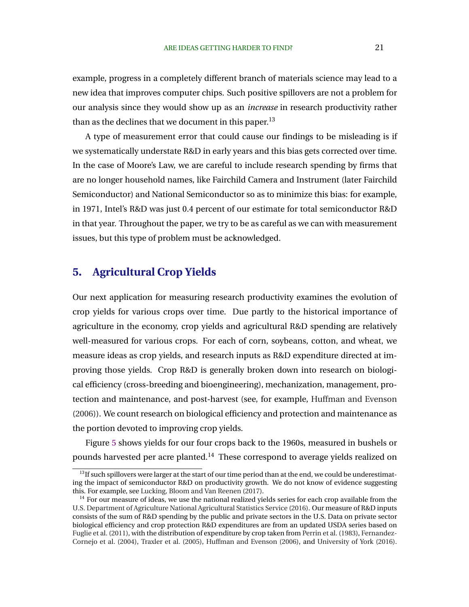example, progress in a completely different branch of materials science may lead to a new idea that improves computer chips. Such positive spillovers are not a problem for our analysis since they would show up as an *increase* in research productivity rather than as the declines that we document in this paper.<sup>13</sup>

A type of measurement error that could cause our findings to be misleading is if we systematically understate R&D in early years and this bias gets corrected over time. In the case of Moore's Law, we are careful to include research spending by firms that are no longer household names, like Fairchild Camera and Instrument (later Fairchild Semiconductor) and National Semiconductor so as to minimize this bias: for example, in 1971, Intel's R&D was just 0.4 percent of our estimate for total semiconductor R&D in that year. Throughout the paper, we try to be as careful as we can with measurement issues, but this type of problem must be acknowledged.

# **5. Agricultural Crop Yields**

Our next application for measuring research productivity examines the evolution of crop yields for various crops over time. Due partly to the historical importance of agriculture in the economy, crop yields and agricultural R&D spending are relatively well-measured for various crops. For each of corn, soybeans, cotton, and wheat, we measure ideas as crop yields, and research inputs as R&D expenditure directed at improving those yields. Crop R&D is generally broken down into research on biological efficiency (cross-breeding and bioengineering), mechanization, management, protection and maintenance, and post-harvest (see, for example, [Huffman and Evenson](#page-51-0) [\(2006\)](#page-51-0)). We count research on biological efficiency and protection and maintenance as the portion devoted to improving crop yields.

Figure [5](#page-22-0) shows yields for our four crops back to the 1960s, measured in bushels or pounds harvested per acre planted.<sup>14</sup> These correspond to average yields realized on

 $\frac{13}{13}$  if such spillovers were larger at the start of our time period than at the end, we could be underestimating the impact of semiconductor R&D on productivity growth. We do not know of evidence suggesting this. For example, see [Lucking, Bloom and Van Reenen](#page-52-0) [\(2017\)](#page-52-0).

 $<sup>14</sup>$  For our measure of ideas, we use the national realized yields series for each crop available from the</sup> [U.S. Department of Agriculture National Agricultural Statistics Service](#page-53-0) [\(2016\)](#page-53-0). Our measure of R&D inputs consists of the sum of R&D spending by the public and private sectors in the U.S. Data on private sector biological efficiency and crop protection R&D expenditures are from an updated USDA series based on [Fuglie et al.](#page-50-0) [\(2011\)](#page-50-0), with the distribution of expenditure by crop taken from [Perrin et al.](#page-52-0) [\(1983\)](#page-52-0), [Fernandez-](#page-50-0)[Cornejo et al.](#page-50-0) [\(2004\)](#page-50-0), [Traxler et al.](#page-53-0) [\(2005\)](#page-53-0), [Huffman and Evenson](#page-51-0) [\(2006\)](#page-51-0), and [University of York](#page-53-0) [\(2016\)](#page-53-0).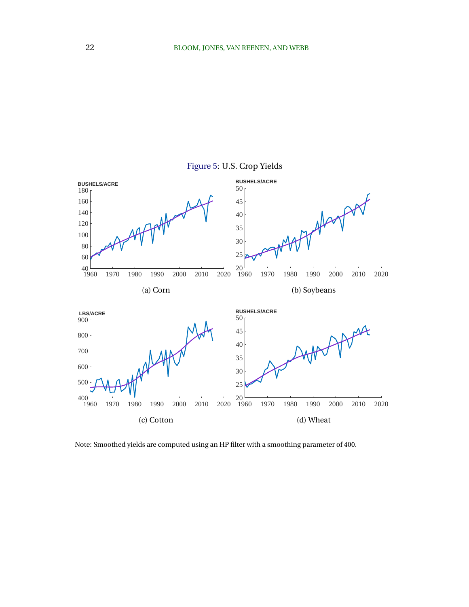<span id="page-22-0"></span>

Note: Smoothed yields are computed using an HP filter with a smoothing parameter of 400.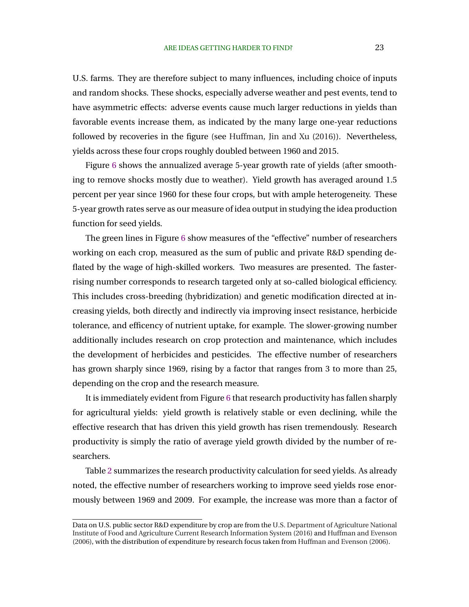U.S. farms. They are therefore subject to many influences, including choice of inputs and random shocks. These shocks, especially adverse weather and pest events, tend to have asymmetric effects: adverse events cause much larger reductions in yields than favorable events increase them, as indicated by the many large one-year reductions followed by recoveries in the figure (see [Huffman, Jin and Xu](#page-51-0) [\(2016\)](#page-51-0)). Nevertheless, yields across these four crops roughly doubled between 1960 and 2015.

Figure [6](#page-24-0) shows the annualized average 5-year growth rate of yields (after smoothing to remove shocks mostly due to weather). Yield growth has averaged around 1.5 percent per year since 1960 for these four crops, but with ample heterogeneity. These 5-year growth rates serve as our measure of idea output in studying the idea production function for seed yields.

The green lines in Figure [6](#page-24-0) show measures of the "effective" number of researchers working on each crop, measured as the sum of public and private R&D spending deflated by the wage of high-skilled workers. Two measures are presented. The fasterrising number corresponds to research targeted only at so-called biological efficiency. This includes cross-breeding (hybridization) and genetic modification directed at increasing yields, both directly and indirectly via improving insect resistance, herbicide tolerance, and efficency of nutrient uptake, for example. The slower-growing number additionally includes research on crop protection and maintenance, which includes the development of herbicides and pesticides. The effective number of researchers has grown sharply since 1969, rising by a factor that ranges from 3 to more than 25, depending on the crop and the research measure.

It is immediately evident from Figure [6](#page-24-0) that research productivity has fallen sharply for agricultural yields: yield growth is relatively stable or even declining, while the effective research that has driven this yield growth has risen tremendously. Research productivity is simply the ratio of average yield growth divided by the number of researchers.

Table [2](#page-25-0) summarizes the research productivity calculation for seed yields. As already noted, the effective number of researchers working to improve seed yields rose enormously between 1969 and 2009. For example, the increase was more than a factor of

Data on U.S. public sector R&D expenditure by crop are from the [U.S. Department of Agriculture National](#page-53-0) [Institute of Food and Agriculture Current Research Information System](#page-53-0) [\(2016\)](#page-53-0) and [Huffman and Evenson](#page-51-0) [\(2006\)](#page-51-0), with the distribution of expenditure by research focus taken from [Huffman and Evenson](#page-51-0) [\(2006\)](#page-51-0).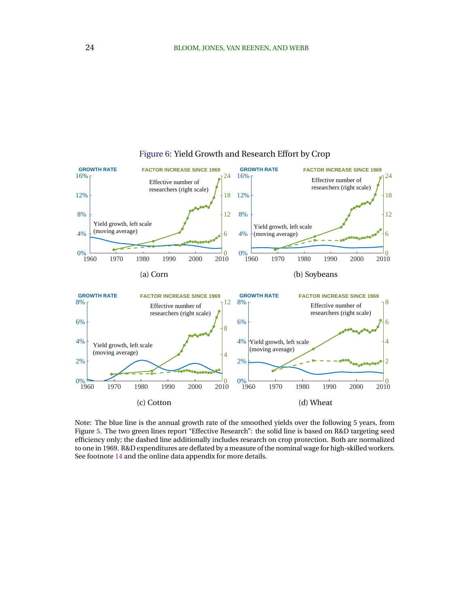<span id="page-24-0"></span>

### Figure 6: Yield Growth and Research Effort by Crop

Note: The blue line is the annual growth rate of the smoothed yields over the following 5 years, from Figure [5.](#page-22-0) The two green lines report "Effective Research": the solid line is based on R&D targeting seed efficiency only; the dashed line additionally includes research on crop protection. Both are normalized to one in 1969. R&D expenditures are deflated by a measure of the nominal wage for high-skilled workers. See footnote [14](#page-22-0) and the online data appendix for more details.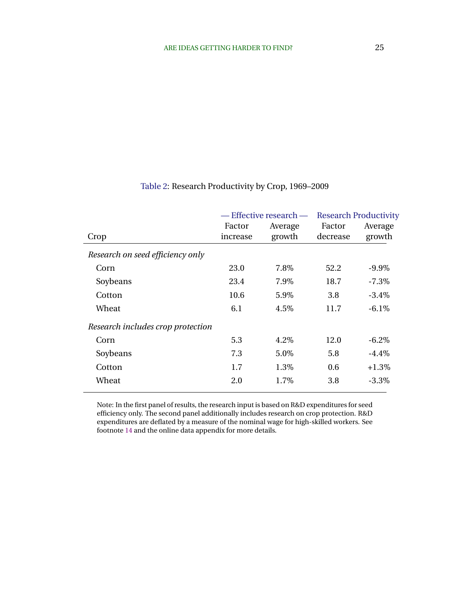<span id="page-25-0"></span>

|                                   | Factor<br>increase | — Effective research —<br>Average<br>growth | Factor   | <b>Research Productivity</b><br>Average<br>growth |  |
|-----------------------------------|--------------------|---------------------------------------------|----------|---------------------------------------------------|--|
| Crop                              |                    |                                             | decrease |                                                   |  |
| Research on seed efficiency only  |                    |                                             |          |                                                   |  |
| Corn                              | 23.0               | 7.8%                                        | 52.2     | $-9.9\%$                                          |  |
| Soybeans                          | 23.4               | 7.9%                                        | 18.7     | $-7.3\%$                                          |  |
| Cotton                            | 10.6               | 5.9%                                        | 3.8      | $-3.4\%$                                          |  |
| Wheat                             | 6.1                | 4.5%                                        | 11.7     | $-6.1%$                                           |  |
| Research includes crop protection |                    |                                             |          |                                                   |  |
| Corn                              | 5.3                | 4.2%                                        | 12.0     | $-6.2\%$                                          |  |
| Soybeans                          | 7.3                | 5.0%                                        | 5.8      | $-4.4\%$                                          |  |
| Cotton                            | 1.7                | 1.3%                                        | 0.6      | $+1.3\%$                                          |  |
| Wheat                             | 2.0                | 1.7%                                        | 3.8      | $-3.3\%$                                          |  |
|                                   |                    |                                             |          |                                                   |  |

### Table 2: Research Productivity by Crop, 1969–2009

Note: In the first panel of results, the research input is based on R&D expenditures for seed efficiency only. The second panel additionally includes research on crop protection. R&D expenditures are deflated by a measure of the nominal wage for high-skilled workers. See footnote [14](#page-22-0) and the online data appendix for more details.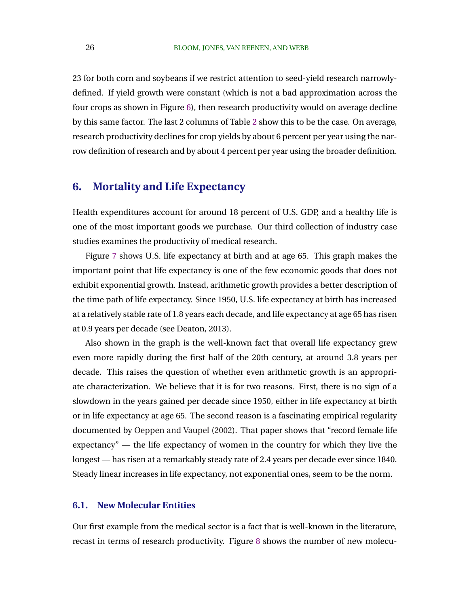23 for both corn and soybeans if we restrict attention to seed-yield research narrowlydefined. If yield growth were constant (which is not a bad approximation across the four crops as shown in Figure [6\)](#page-24-0), then research productivity would on average decline by this same factor. The last 2 columns of Table [2](#page-25-0) show this to be the case. On average, research productivity declines for crop yields by about 6 percent per year using the narrow definition of research and by about 4 percent per year using the broader definition.

# **6. Mortality and Life Expectancy**

Health expenditures account for around 18 percent of U.S. GDP, and a healthy life is one of the most important goods we purchase. Our third collection of industry case studies examines the productivity of medical research.

Figure [7](#page-27-0) shows U.S. life expectancy at birth and at age 65. This graph makes the important point that life expectancy is one of the few economic goods that does not exhibit exponential growth. Instead, arithmetic growth provides a better description of the time path of life expectancy. Since 1950, U.S. life expectancy at birth has increased at a relatively stable rate of 1.8 years each decade, and life expectancy at age 65 has risen at 0.9 years per decade (see Deaton, 2013).

Also shown in the graph is the well-known fact that overall life expectancy grew even more rapidly during the first half of the 20th century, at around 3.8 years per decade. This raises the question of whether even arithmetic growth is an appropriate characterization. We believe that it is for two reasons. First, there is no sign of a slowdown in the years gained per decade since 1950, either in life expectancy at birth or in life expectancy at age 65. The second reason is a fascinating empirical regularity documented by [Oeppen and Vaupel](#page-52-0) [\(2002\)](#page-52-0). That paper shows that "record female life expectancy" — the life expectancy of women in the country for which they live the longest — has risen at a remarkably steady rate of 2.4 years per decade ever since 1840. Steady linear increases in life expectancy, not exponential ones, seem to be the norm.

#### **6.1. New Molecular Entities**

Our first example from the medical sector is a fact that is well-known in the literature, recast in terms of research productivity. Figure [8](#page-28-0) shows the number of new molecu-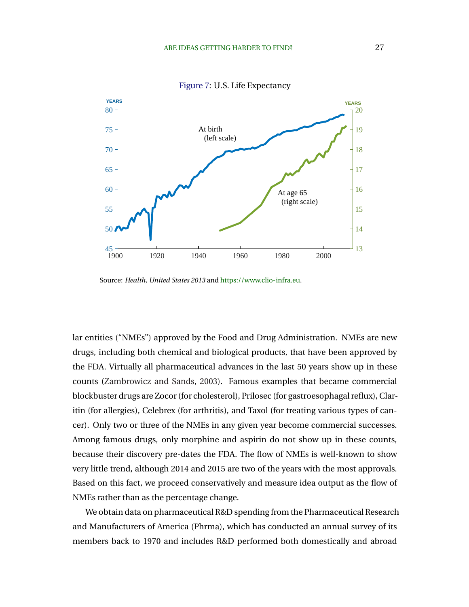<span id="page-27-0"></span>

Figure 7: U.S. Life Expectancy

Source: *Health, United States 2013* and [https://www.clio-infra.eu.](https://www.clio-infra.eu)

lar entities ("NMEs") approved by the Food and Drug Administration. NMEs are new drugs, including both chemical and biological products, that have been approved by the FDA. Virtually all pharmaceutical advances in the last 50 years show up in these counts [\(Zambrowicz and Sands,](#page-53-0) [2003\)](#page-53-0). Famous examples that became commercial blockbuster drugs are Zocor (for cholesterol), Prilosec (for gastroesophagal reflux), Claritin (for allergies), Celebrex (for arthritis), and Taxol (for treating various types of cancer). Only two or three of the NMEs in any given year become commercial successes. Among famous drugs, only morphine and aspirin do not show up in these counts, because their discovery pre-dates the FDA. The flow of NMEs is well-known to show very little trend, although 2014 and 2015 are two of the years with the most approvals. Based on this fact, we proceed conservatively and measure idea output as the flow of NMEs rather than as the percentage change.

We obtain data on pharmaceutical R&D spending from the Pharmaceutical Research and Manufacturers of America (Phrma), which has conducted an annual survey of its members back to 1970 and includes R&D performed both domestically and abroad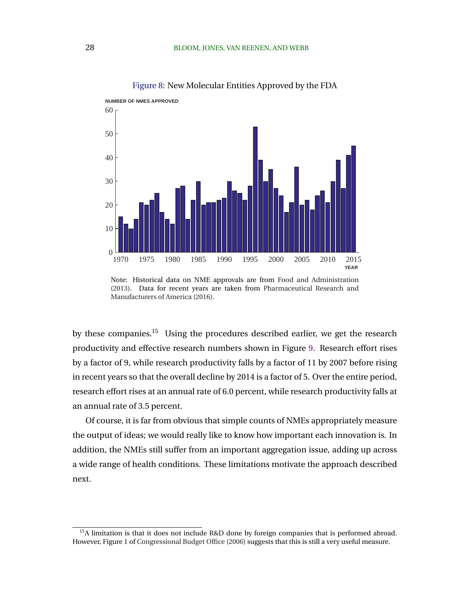<span id="page-28-0"></span>

Figure 8: New Molecular Entities Approved by the FDA

by these companies.<sup>15</sup> Using the procedures described earlier, we get the research productivity and effective research numbers shown in Figure [9.](#page-29-0) Research effort rises by a factor of 9, while research productivity falls by a factor of 11 by 2007 before rising in recent years so that the overall decline by 2014 is a factor of 5. Over the entire period, research effort rises at an annual rate of 6.0 percent, while research productivity falls at an annual rate of 3.5 percent.

Of course, it is far from obvious that simple counts of NMEs appropriately measure the output of ideas; we would really like to know how important each innovation is. In addition, the NMEs still suffer from an important aggregation issue, adding up across a wide range of health conditions. These limitations motivate the approach described next.

Note: Historical data on NME approvals are from [Food and Administration](#page-50-0) [\(2013\)](#page-50-0). Data for recent years are taken from [Pharmaceutical Research and](#page-52-0) [Manufacturers of America](#page-52-0) [\(2016\)](#page-52-0).

<sup>&</sup>lt;sup>15</sup>A limitation is that it does not include R&D done by foreign companies that is performed abroad. However, Figure 1 of [Congressional Budget Office](#page-48-0) [\(2006\)](#page-48-0) suggests that this is still a very useful measure.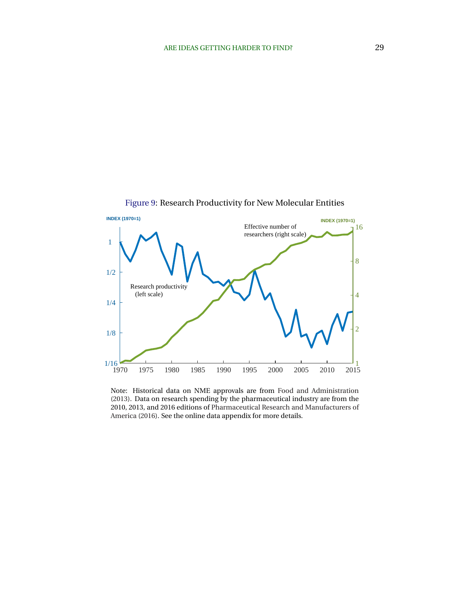<span id="page-29-0"></span>

Note: Historical data on NME approvals are from [Food and Administration](#page-50-0) [\(2013\)](#page-50-0). Data on research spending by the pharmaceutical industry are from the 2010, 2013, and 2016 editions of [Pharmaceutical Research and Manufacturers of](#page-52-0) [America](#page-52-0) [\(2016\)](#page-52-0). See the online data appendix for more details.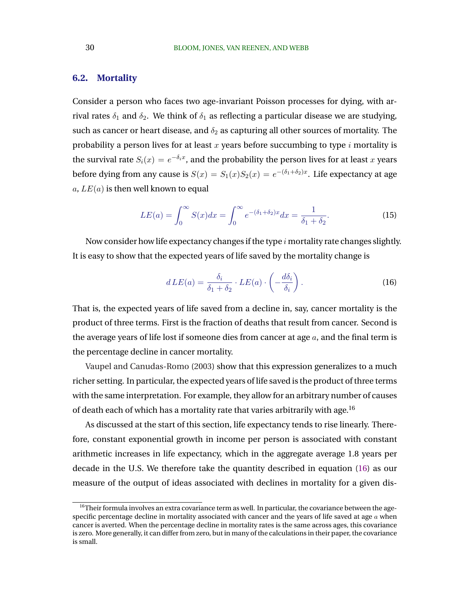### <span id="page-30-0"></span>**6.2. Mortality**

Consider a person who faces two age-invariant Poisson processes for dying, with arrival rates  $\delta_1$  and  $\delta_2$ . We think of  $\delta_1$  as reflecting a particular disease we are studying, such as cancer or heart disease, and  $\delta_2$  as capturing all other sources of mortality. The probability a person lives for at least  $x$  years before succumbing to type  $i$  mortality is the survival rate  $S_i(x) = e^{-\delta_i x}$ , and the probability the person lives for at least  $x$  years before dying from any cause is  $S(x)=S_1(x)S_2(x)=e^{-(\delta_1+\delta_2)x}.$  Life expectancy at age a,  $LE(a)$  is then well known to equal

$$
LE(a) = \int_0^\infty S(x)dx = \int_0^\infty e^{-(\delta_1 + \delta_2)x}dx = \frac{1}{\delta_1 + \delta_2}.
$$
 (15)

Now consider how life expectancy changes if the type  $i$  mortality rate changes slightly. It is easy to show that the expected years of life saved by the mortality change is

$$
dLE(a) = \frac{\delta_i}{\delta_1 + \delta_2} \cdot LE(a) \cdot \left( -\frac{d\delta_i}{\delta_i} \right). \tag{16}
$$

That is, the expected years of life saved from a decline in, say, cancer mortality is the product of three terms. First is the fraction of deaths that result from cancer. Second is the average years of life lost if someone dies from cancer at age  $a$ , and the final term is the percentage decline in cancer mortality.

[Vaupel and Canudas-Romo](#page-53-0) [\(2003\)](#page-53-0) show that this expression generalizes to a much richer setting. In particular, the expected years of life saved is the product of three terms with the same interpretation. For example, they allow for an arbitrary number of causes of death each of which has a mortality rate that varies arbitrarily with age.<sup>16</sup>

As discussed at the start of this section, life expectancy tends to rise linearly. Therefore, constant exponential growth in income per person is associated with constant arithmetic increases in life expectancy, which in the aggregate average 1.8 years per decade in the U.S. We therefore take the quantity described in equation (16) as our measure of the output of ideas associated with declines in mortality for a given dis-

 $16$ Their formula involves an extra covariance term as well. In particular, the covariance between the agespecific percentage decline in mortality associated with cancer and the years of life saved at age  $a$  when cancer is averted. When the percentage decline in mortality rates is the same across ages, this covariance is zero. More generally, it can differ from zero, but in many of the calculations in their paper, the covariance is small.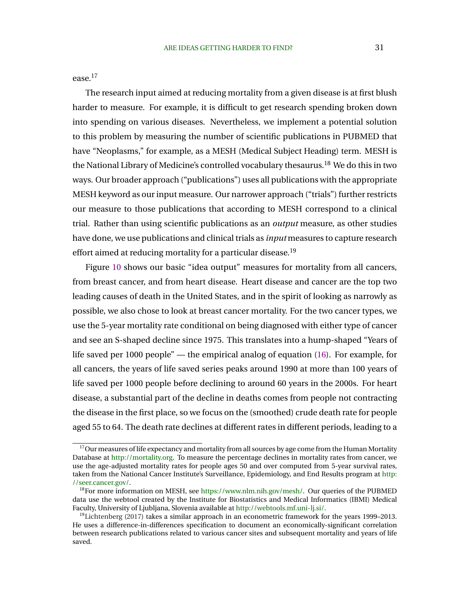ease.<sup>17</sup>

The research input aimed at reducing mortality from a given disease is at first blush harder to measure. For example, it is difficult to get research spending broken down into spending on various diseases. Nevertheless, we implement a potential solution to this problem by measuring the number of scientific publications in PUBMED that have "Neoplasms," for example, as a MESH (Medical Subject Heading) term. MESH is the National Library of Medicine's controlled vocabulary thesaurus.<sup>18</sup> We do this in two ways. Our broader approach ("publications") uses all publications with the appropriate MESH keyword as our input measure. Our narrower approach ("trials") further restricts our measure to those publications that according to MESH correspond to a clinical trial. Rather than using scientific publications as an *output* measure, as other studies have done, we use publications and clinical trials as *input* measures to capture research effort aimed at reducing mortality for a particular disease.<sup>19</sup>

Figure [10](#page-32-0) shows our basic "idea output" measures for mortality from all cancers, from breast cancer, and from heart disease. Heart disease and cancer are the top two leading causes of death in the United States, and in the spirit of looking as narrowly as possible, we also chose to look at breast cancer mortality. For the two cancer types, we use the 5-year mortality rate conditional on being diagnosed with either type of cancer and see an S-shaped decline since 1975. This translates into a hump-shaped "Years of life saved per 1000 people" — the empirical analog of equation [\(16\)](#page-30-0). For example, for all cancers, the years of life saved series peaks around 1990 at more than 100 years of life saved per 1000 people before declining to around 60 years in the 2000s. For heart disease, a substantial part of the decline in deaths comes from people not contracting the disease in the first place, so we focus on the (smoothed) crude death rate for people aged 55 to 64. The death rate declines at different rates in different periods, leading to a

 $17$ Our measures of life expectancy and mortality from all sources by age come from the Human Mortality Database at [http://mortality.org.](http://mortality.org) To measure the percentage declines in mortality rates from cancer, we use the age-adjusted mortality rates for people ages 50 and over computed from 5-year survival rates, taken from the National Cancer Institute's Surveillance, Epidemiology, and End Results program at [http:](http://seer.cancer.gov/) [//seer.cancer.gov/.](http://seer.cancer.gov/)

<sup>&</sup>lt;sup>18</sup>For more information on MESH, see [https://www.nlm.nih.gov/mesh/.](https://www.nlm.nih.gov/mesh/) Our queries of the PUBMED data use the webtool created by the Institute for Biostatistics and Medical Informatics (IBMI) Medical Faculty, University of Ljubljana, Slovenia available at [http://webtools.mf.uni-lj.si/.](http://webtools.mf.uni-lj.si/)

 $19$ [Lichtenberg](#page-52-0) [\(2017\)](#page-52-0) takes a similar approach in an econometric framework for the years 1999–2013. He uses a difference-in-differences specification to document an economically-significant correlation between research publications related to various cancer sites and subsequent mortality and years of life saved.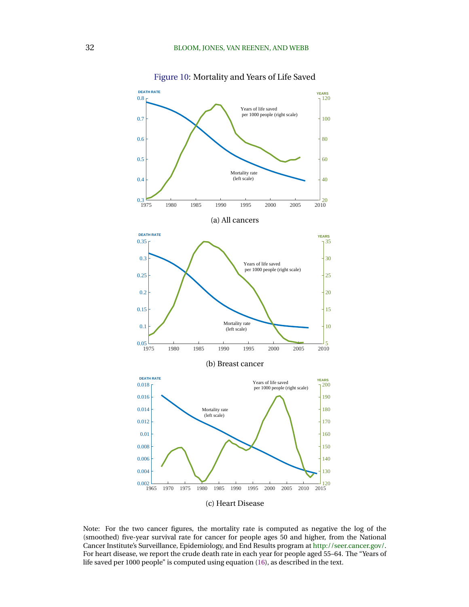<span id="page-32-0"></span>

Figure 10: Mortality and Years of Life Saved

Note: For the two cancer figures, the mortality rate is computed as negative the log of the (smoothed) five-year survival rate for cancer for people ages 50 and higher, from the National Cancer Institute's Surveillance, Epidemiology, and End Results program at [http://seer.cancer.gov/.](http://seer.cancer.gov/) For heart disease, we report the crude death rate in each year for people aged 55–64. The "Years of life saved per 1000 people" is computed using equation [\(16\)](#page-30-0), as described in the text.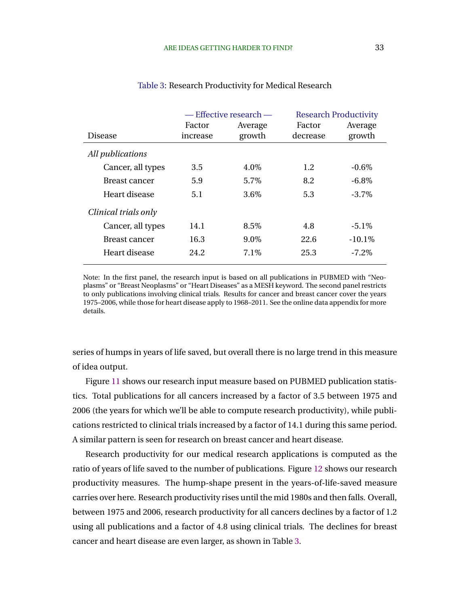|                      | — Effective research — |                   |                    | <b>Research Productivity</b> |
|----------------------|------------------------|-------------------|--------------------|------------------------------|
| <b>Disease</b>       | Factor<br>increase     | Average<br>growth | Factor<br>decrease | Average<br>growth            |
| All publications     |                        |                   |                    |                              |
| Cancer, all types    | 3.5                    | 4.0%              | 1.2                | $-0.6\%$                     |
| <b>Breast cancer</b> | 5.9                    | 5.7%              | 8.2                | $-6.8\%$                     |
| Heart disease        | 5.1                    | 3.6%              | 5.3                | $-3.7\%$                     |
| Clinical trials only |                        |                   |                    |                              |
| Cancer, all types    | 14.1                   | 8.5%              | 4.8                | $-5.1\%$                     |
| <b>Breast cancer</b> | 16.3                   | $9.0\%$           | 22.6               | $-10.1\%$                    |
| Heart disease        | 24.2                   | 7.1\%             | 25.3               | $-7.2\%$                     |

#### Table 3: Research Productivity for Medical Research

Note: In the first panel, the research input is based on all publications in PUBMED with "Neoplasms" or "Breast Neoplasms" or "Heart Diseases" as a MESH keyword. The second panel restricts to only publications involving clinical trials. Results for cancer and breast cancer cover the years 1975–2006, while those for heart disease apply to 1968–2011. See the online data appendix for more details.

series of humps in years of life saved, but overall there is no large trend in this measure of idea output.

Figure [11](#page-34-0) shows our research input measure based on PUBMED publication statistics. Total publications for all cancers increased by a factor of 3.5 between 1975 and 2006 (the years for which we'll be able to compute research productivity), while publications restricted to clinical trials increased by a factor of 14.1 during this same period. A similar pattern is seen for research on breast cancer and heart disease.

Research productivity for our medical research applications is computed as the ratio of years of life saved to the number of publications. Figure [12](#page-35-0) shows our research productivity measures. The hump-shape present in the years-of-life-saved measure carries over here. Research productivity rises until the mid 1980s and then falls. Overall, between 1975 and 2006, research productivity for all cancers declines by a factor of 1.2 using all publications and a factor of 4.8 using clinical trials. The declines for breast cancer and heart disease are even larger, as shown in Table 3.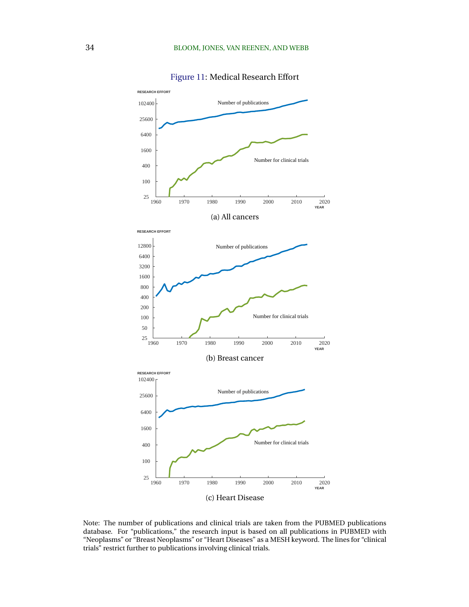<span id="page-34-0"></span>

Figure 11: Medical Research Effort

Note: The number of publications and clinical trials are taken from the PUBMED publications database. For "publications," the research input is based on all publications in PUBMED with "Neoplasms" or "Breast Neoplasms" or "Heart Diseases" as a MESH keyword. The lines for "clinical trials" restrict further to publications involving clinical trials.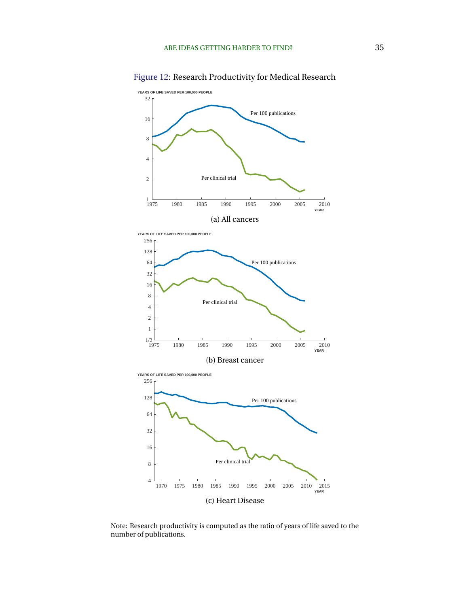<span id="page-35-0"></span>

Figure 12: Research Productivity for Medical Research

Note: Research productivity is computed as the ratio of years of life saved to the number of publications.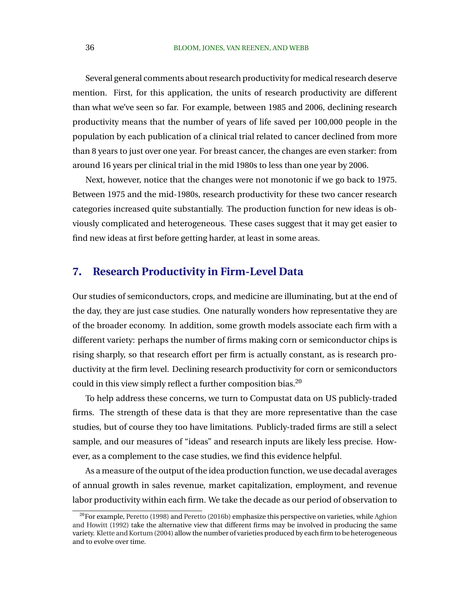Several general comments about research productivity for medical research deserve mention. First, for this application, the units of research productivity are different than what we've seen so far. For example, between 1985 and 2006, declining research productivity means that the number of years of life saved per 100,000 people in the population by each publication of a clinical trial related to cancer declined from more than 8 years to just over one year. For breast cancer, the changes are even starker: from around 16 years per clinical trial in the mid 1980s to less than one year by 2006.

Next, however, notice that the changes were not monotonic if we go back to 1975. Between 1975 and the mid-1980s, research productivity for these two cancer research categories increased quite substantially. The production function for new ideas is obviously complicated and heterogeneous. These cases suggest that it may get easier to find new ideas at first before getting harder, at least in some areas.

## **7. Research Productivity in Firm-Level Data**

Our studies of semiconductors, crops, and medicine are illuminating, but at the end of the day, they are just case studies. One naturally wonders how representative they are of the broader economy. In addition, some growth models associate each firm with a different variety: perhaps the number of firms making corn or semiconductor chips is rising sharply, so that research effort per firm is actually constant, as is research productivity at the firm level. Declining research productivity for corn or semiconductors could in this view simply reflect a further composition bias.<sup>20</sup>

To help address these concerns, we turn to Compustat data on US publicly-traded firms. The strength of these data is that they are more representative than the case studies, but of course they too have limitations. Publicly-traded firms are still a select sample, and our measures of "ideas" and research inputs are likely less precise. However, as a complement to the case studies, we find this evidence helpful.

As a measure of the output of the idea production function, we use decadal averages of annual growth in sales revenue, market capitalization, employment, and revenue labor productivity within each firm. We take the decade as our period of observation to

 $20$ For example, [Peretto](#page-52-0) [\(1998\)](#page-52-0) and Peretto [\(2016b\)](#page-52-0) emphasize this perspective on varieties, while [Aghion](#page-48-0) [and Howitt](#page-48-0) [\(1992\)](#page-48-0) take the alternative view that different firms may be involved in producing the same variety. [Klette and Kortum](#page-51-0) [\(2004\)](#page-51-0) allow the number of varieties produced by each firm to be heterogeneous and to evolve over time.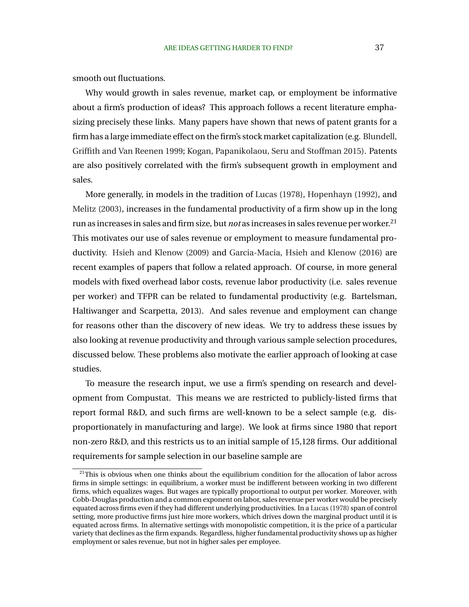smooth out fluctuations.

Why would growth in sales revenue, market cap, or employment be informative about a firm's production of ideas? This approach follows a recent literature emphasizing precisely these links. Many papers have shown that news of patent grants for a firm has a large immediate effect on the firm's stock market capitalization (e.g. [Blundell,](#page-48-0) [Griffith and Van Reenen 1999;](#page-48-0) [Kogan, Papanikolaou, Seru and Stoffman 2015\)](#page-51-0). Patents are also positively correlated with the firm's subsequent growth in employment and sales.

More generally, in models in the tradition of [Lucas](#page-52-0) [\(1978\)](#page-52-0), [Hopenhayn](#page-51-0) [\(1992\)](#page-51-0), and [Melitz](#page-52-0) [\(2003\)](#page-52-0), increases in the fundamental productivity of a firm show up in the long run as increases in sales and firm size, but *not* as increases in sales revenue per worker.<sup>21</sup> This motivates our use of sales revenue or employment to measure fundamental productivity. [Hsieh and Klenow](#page-51-0) [\(2009\)](#page-51-0) and [Garcia-Macia, Hsieh and Klenow](#page-50-0) [\(2016\)](#page-50-0) are recent examples of papers that follow a related approach. Of course, in more general models with fixed overhead labor costs, revenue labor productivity (i.e. sales revenue per worker) and TFPR can be related to fundamental productivity (e.g. Bartelsman, Haltiwanger and Scarpetta, 2013). And sales revenue and employment can change for reasons other than the discovery of new ideas. We try to address these issues by also looking at revenue productivity and through various sample selection procedures, discussed below. These problems also motivate the earlier approach of looking at case studies.

To measure the research input, we use a firm's spending on research and development from Compustat. This means we are restricted to publicly-listed firms that report formal R&D, and such firms are well-known to be a select sample (e.g. disproportionately in manufacturing and large). We look at firms since 1980 that report non-zero R&D, and this restricts us to an initial sample of 15,128 firms. Our additional requirements for sample selection in our baseline sample are

 $21$ This is obvious when one thinks about the equilibrium condition for the allocation of labor across firms in simple settings: in equilibrium, a worker must be indifferent between working in two different firms, which equalizes wages. But wages are typically proportional to output per worker. Moreover, with Cobb-Douglas production and a common exponent on labor, sales revenue per worker would be precisely equated across firms even if they had different underlying productivities. In a [Lucas](#page-52-0) [\(1978\)](#page-52-0) span of control setting, more productive firms just hire more workers, which drives down the marginal product until it is equated across firms. In alternative settings with monopolistic competition, it is the price of a particular variety that declines as the firm expands. Regardless, higher fundamental productivity shows up as higher employment or sales revenue, but not in higher sales per employee.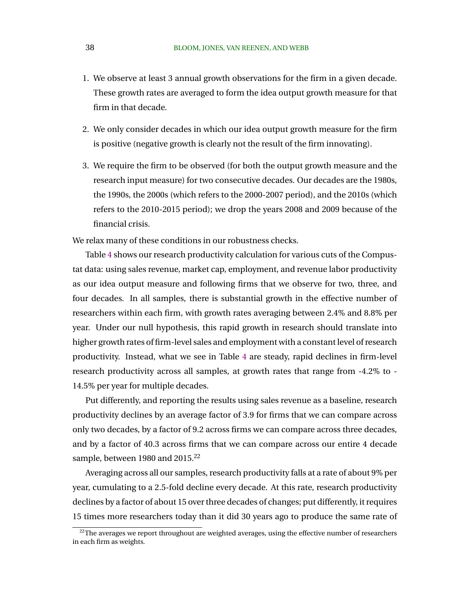- 1. We observe at least 3 annual growth observations for the firm in a given decade. These growth rates are averaged to form the idea output growth measure for that firm in that decade.
- 2. We only consider decades in which our idea output growth measure for the firm is positive (negative growth is clearly not the result of the firm innovating).
- 3. We require the firm to be observed (for both the output growth measure and the research input measure) for two consecutive decades. Our decades are the 1980s, the 1990s, the 2000s (which refers to the 2000-2007 period), and the 2010s (which refers to the 2010-2015 period); we drop the years 2008 and 2009 because of the financial crisis.

We relax many of these conditions in our robustness checks.

Table [4](#page-39-0) shows our research productivity calculation for various cuts of the Compustat data: using sales revenue, market cap, employment, and revenue labor productivity as our idea output measure and following firms that we observe for two, three, and four decades. In all samples, there is substantial growth in the effective number of researchers within each firm, with growth rates averaging between 2.4% and 8.8% per year. Under our null hypothesis, this rapid growth in research should translate into higher growth rates of firm-level sales and employment with a constant level of research productivity. Instead, what we see in Table [4](#page-39-0) are steady, rapid declines in firm-level research productivity across all samples, at growth rates that range from -4.2% to - 14.5% per year for multiple decades.

Put differently, and reporting the results using sales revenue as a baseline, research productivity declines by an average factor of 3.9 for firms that we can compare across only two decades, by a factor of 9.2 across firms we can compare across three decades, and by a factor of 40.3 across firms that we can compare across our entire 4 decade sample, between 1980 and 2015.<sup>22</sup>

Averaging across all our samples, research productivity falls at a rate of about 9% per year, cumulating to a 2.5-fold decline every decade. At this rate, research productivity declines by a factor of about 15 over three decades of changes; put differently, it requires 15 times more researchers today than it did 30 years ago to produce the same rate of

 $22$ The averages we report throughout are weighted averages, using the effective number of researchers in each firm as weights.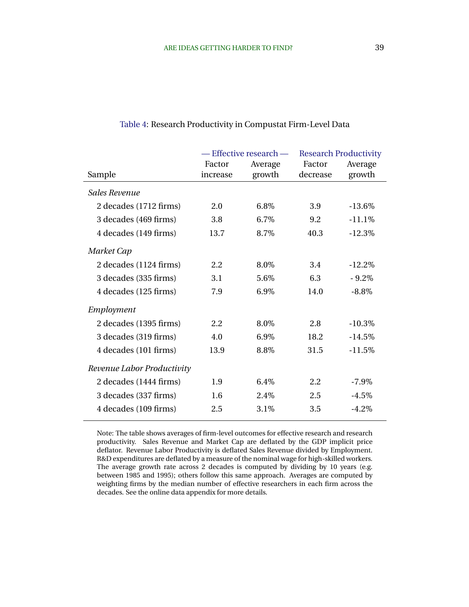| - Effective research - |         | <b>Research Productivity</b> |           |
|------------------------|---------|------------------------------|-----------|
| Factor                 | Average | Factor                       | Average   |
| increase               |         | decrease                     | growth    |
|                        |         |                              |           |
| 2.0                    | 6.8%    | 3.9                          | $-13.6\%$ |
| 3.8                    | 6.7%    | 9.2                          | $-11.1%$  |
| 13.7                   | 8.7%    | 40.3                         | $-12.3%$  |
|                        |         |                              |           |
| 2.2                    | 8.0%    | 3.4                          | $-12.2%$  |
| 3.1                    | 5.6%    | 6.3                          | $-9.2%$   |
| 7.9                    | 6.9%    | 14.0                         | $-8.8\%$  |
|                        |         |                              |           |
| 2.2                    | 8.0%    | 2.8                          | $-10.3\%$ |
| 4.0                    | 6.9%    | 18.2                         | $-14.5%$  |
| 13.9                   | 8.8%    | 31.5                         | $-11.5%$  |
|                        |         |                              |           |
| 1.9                    | $6.4\%$ | 2.2                          | $-7.9\%$  |
| 1.6                    | 2.4\%   | 2.5                          | $-4.5\%$  |
| 2.5                    | 3.1%    | 3.5                          | $-4.2%$   |
|                        |         | growth                       |           |

#### <span id="page-39-0"></span>Table 4: Research Productivity in Compustat Firm-Level Data

Note: The table shows averages of firm-level outcomes for effective research and research productivity. Sales Revenue and Market Cap are deflated by the GDP implicit price deflator. Revenue Labor Productivity is deflated Sales Revenue divided by Employment. R&D expenditures are deflated by a measure of the nominal wage for high-skilled workers. The average growth rate across 2 decades is computed by dividing by 10 years (e.g. between 1985 and 1995); others follow this same approach. Averages are computed by weighting firms by the median number of effective researchers in each firm across the decades. See the online data appendix for more details.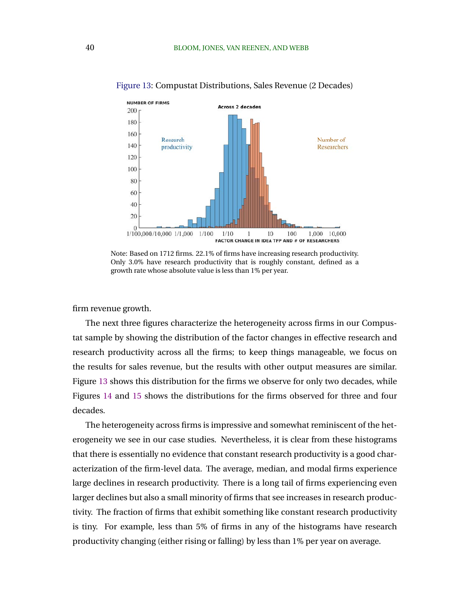

Figure 13: Compustat Distributions, Sales Revenue (2 Decades)

Note: Based on 1712 firms. 22.1% of firms have increasing research productivity. Only 3.0% have research productivity that is roughly constant, defined as a growth rate whose absolute value is less than 1% per year.

firm revenue growth.

The next three figures characterize the heterogeneity across firms in our Compustat sample by showing the distribution of the factor changes in effective research and research productivity across all the firms; to keep things manageable, we focus on the results for sales revenue, but the results with other output measures are similar. Figure 13 shows this distribution for the firms we observe for only two decades, while Figures [14](#page-41-0) and [15](#page-41-0) shows the distributions for the firms observed for three and four decades.

The heterogeneity across firms is impressive and somewhat reminiscent of the heterogeneity we see in our case studies. Nevertheless, it is clear from these histograms that there is essentially no evidence that constant research productivity is a good characterization of the firm-level data. The average, median, and modal firms experience large declines in research productivity. There is a long tail of firms experiencing even larger declines but also a small minority of firms that see increases in research productivity. The fraction of firms that exhibit something like constant research productivity is tiny. For example, less than 5% of firms in any of the histograms have research productivity changing (either rising or falling) by less than 1% per year on average.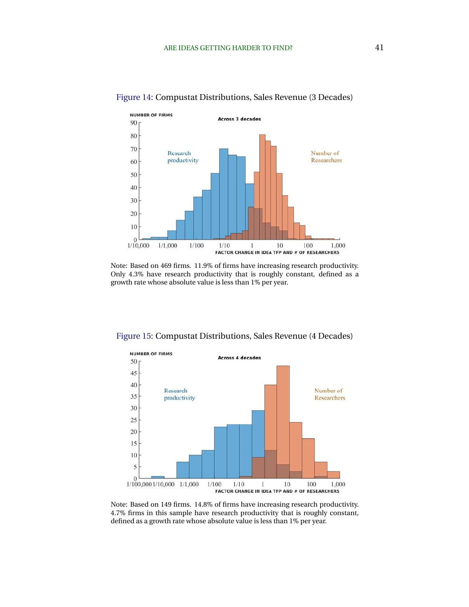

#### <span id="page-41-0"></span>Figure 14: Compustat Distributions, Sales Revenue (3 Decades)

Note: Based on 469 firms. 11.9% of firms have increasing research productivity. Only 4.3% have research productivity that is roughly constant, defined as a growth rate whose absolute value is less than 1% per year.



Figure 15: Compustat Distributions, Sales Revenue (4 Decades)

Note: Based on 149 firms. 14.8% of firms have increasing research productivity. 4.7% firms in this sample have research productivity that is roughly constant, defined as a growth rate whose absolute value is less than 1% per year.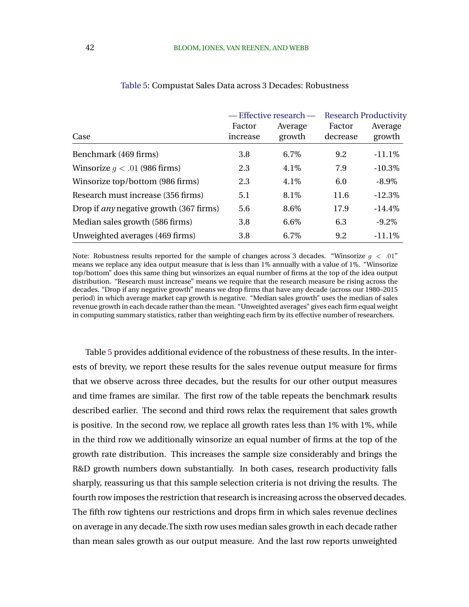|                                                |                    | — Effective research — |                    | <b>Research Productivity</b> |
|------------------------------------------------|--------------------|------------------------|--------------------|------------------------------|
| Case                                           | Factor<br>increase | Average<br>growth      | Factor<br>decrease | Average<br>growth            |
| Benchmark (469 firms)                          | 3.8                | 6.7%                   | 9.2                | $-11.1\%$                    |
| Winsorize $q < .01$ (986 firms)                | 2.3                | 4.1%                   | 7.9                | $-10.3%$                     |
| Winsorize top/bottom (986 firms)               | 2.3                | 4.1%                   | 6.0                | $-8.9\%$                     |
| Research must increase (356 firms)             | 5.1                | 8.1\%                  | 11.6               | $-12.3\%$                    |
| Drop if <i>any</i> negative growth (367 firms) | 5.6                | 8.6%                   | 17.9               | $-14.4\%$                    |
| Median sales growth (586 firms)                | 3.8                | $6.6\%$                | 6.3                | $-9.2\%$                     |
| Unweighted averages (469 firms)                | 3.8                | $6.7\%$                | 9.2                | $-11.1\%$                    |

#### Table 5: Compustat Sales Data across 3 Decades: Robustness

Note: Robustness results reported for the sample of changes across 3 decades. "Winsorize  $g < .01$ " means we replace any idea output measure that is less than 1% annually with a value of 1%. "Winsorize top/bottom" does this same thing but winsorizes an equal number of firms at the top of the idea output distribution. "Research must increase" means we require that the research measure be rising across the decades. "Drop if any negative growth" means we drop firms that have any decade (across our 1980–2015 period) in which average market cap growth is negative. "Median sales growth" uses the median of sales revenue growth in each decade rather than the mean. "Unweighted averages" gives each firm equal weight in computing summary statistics, rather than weighting each firm by its effective number of researchers.

Table 5 provides additional evidence of the robustness of these results. In the interests of brevity, we report these results for the sales revenue output measure for firms that we observe across three decades, but the results for our other output measures and time frames are similar. The first row of the table repeats the benchmark results described earlier. The second and third rows relax the requirement that sales growth is positive. In the second row, we replace all growth rates less than 1% with 1%, while in the third row we additionally winsorize an equal number of firms at the top of the growth rate distribution. This increases the sample size considerably and brings the R&D growth numbers down substantially. In both cases, research productivity falls sharply, reassuring us that this sample selection criteria is not driving the results. The fourth row imposes the restriction that research is increasing across the observed decades. The fifth row tightens our restrictions and drops firm in which sales revenue declines on average in any decade.The sixth row uses median sales growth in each decade rather than mean sales growth as our output measure. And the last row reports unweighted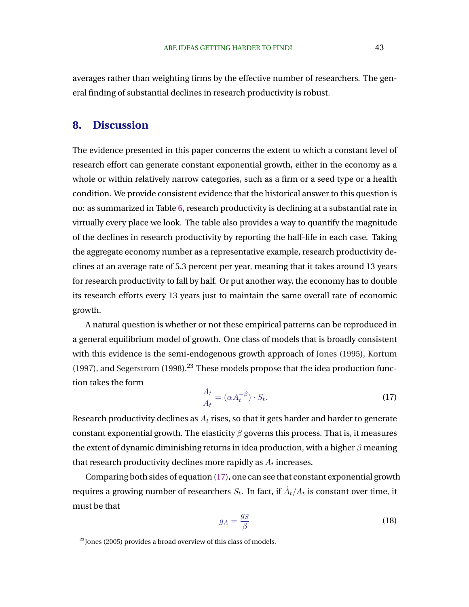<span id="page-43-0"></span>averages rather than weighting firms by the effective number of researchers. The general finding of substantial declines in research productivity is robust.

## **8. Discussion**

The evidence presented in this paper concerns the extent to which a constant level of research effort can generate constant exponential growth, either in the economy as a whole or within relatively narrow categories, such as a firm or a seed type or a health condition. We provide consistent evidence that the historical answer to this question is no: as summarized in Table [6,](#page-44-0) research productivity is declining at a substantial rate in virtually every place we look. The table also provides a way to quantify the magnitude of the declines in research productivity by reporting the half-life in each case. Taking the aggregate economy number as a representative example, research productivity declines at an average rate of 5.3 percent per year, meaning that it takes around 13 years for research productivity to fall by half. Or put another way, the economy has to double its research efforts every 13 years just to maintain the same overall rate of economic growth.

A natural question is whether or not these empirical patterns can be reproduced in a general equilibrium model of growth. One class of models that is broadly consistent with this evidence is the semi-endogenous growth approach of [Jones](#page-51-0) [\(1995\)](#page-51-0), [Kortum](#page-51-0) [\(1997\)](#page-51-0), and [Segerstrom](#page-53-0)  $(1998)$ .<sup>23</sup> These models propose that the idea production function takes the form

$$
\frac{\dot{A}_t}{A_t} = (\alpha A_t^{-\beta}) \cdot S_t.
$$
\n(17)

Research productivity declines as  $A_t$  rises, so that it gets harder and harder to generate constant exponential growth. The elasticity  $\beta$  governs this process. That is, it measures the extent of dynamic diminishing returns in idea production, with a higher  $\beta$  meaning that research productivity declines more rapidly as  $A_t$  increases.

Comparing both sides of equation (17), one can see that constant exponential growth requires a growing number of researchers  $S_t.$  In fact, if  $\dot{A}_t/A_t$  is constant over time, it must be that

$$
g_A = \frac{g_S}{\beta} \tag{18}
$$

 $23$  [Jones](#page-51-0) [\(2005\)](#page-51-0) provides a broad overview of this class of models.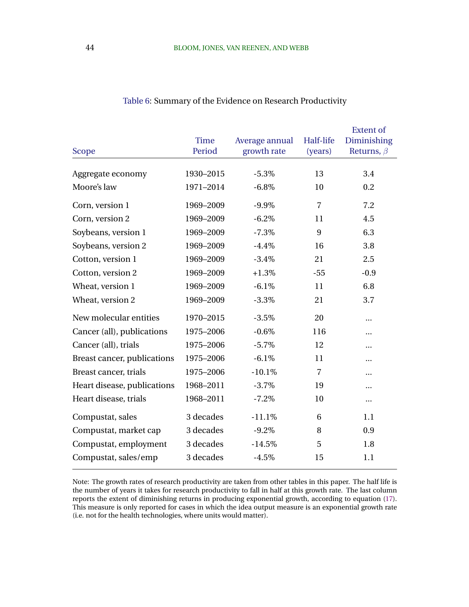<span id="page-44-0"></span>

|                             | <b>Time</b> | Average annual | Half-life      | <b>Extent of</b><br>Diminishing |
|-----------------------------|-------------|----------------|----------------|---------------------------------|
| <b>Scope</b>                | Period      | growth rate    | (years)        | Returns, $\beta$                |
| Aggregate economy           | 1930-2015   | $-5.3%$        | 13             | 3.4                             |
| Moore's law                 | 1971-2014   | $-6.8\%$       | 10             | 0.2                             |
| Corn, version 1             | 1969-2009   | $-9.9\%$       | $\overline{7}$ | 7.2                             |
| Corn, version 2             | 1969-2009   | $-6.2%$        | 11             | 4.5                             |
| Soybeans, version 1         | 1969-2009   | $-7.3%$        | 9              | 6.3                             |
| Soybeans, version 2         | 1969-2009   | $-4.4%$        | 16             | 3.8                             |
| Cotton, version 1           | 1969-2009   | $-3.4%$        | 21             | 2.5                             |
| Cotton, version 2           | 1969-2009   | $+1.3\%$       | $-55$          | $-0.9$                          |
| Wheat, version 1            | 1969-2009   | $-6.1%$        | 11             | 6.8                             |
| Wheat, version 2            | 1969-2009   | $-3.3%$        | 21             | 3.7                             |
| New molecular entities      | 1970-2015   | $-3.5%$        | 20             |                                 |
| Cancer (all), publications  | 1975-2006   | $-0.6%$        | 116            |                                 |
| Cancer (all), trials        | 1975-2006   | $-5.7%$        | 12             |                                 |
| Breast cancer, publications | 1975-2006   | $-6.1\%$       | 11             |                                 |
| Breast cancer, trials       | 1975-2006   | $-10.1%$       | $\overline{7}$ |                                 |
| Heart disease, publications | 1968-2011   | $-3.7%$        | 19             |                                 |
| Heart disease, trials       | 1968-2011   | $-7.2%$        | 10             |                                 |
| Compustat, sales            | 3 decades   | $-11.1%$       | 6              | 1.1                             |
| Compustat, market cap       | 3 decades   | $-9.2%$        | 8              | 0.9                             |
| Compustat, employment       | 3 decades   | $-14.5%$       | 5              | 1.8                             |
| Compustat, sales/emp        | 3 decades   | $-4.5%$        | 15             | 1.1                             |

### Table 6: Summary of the Evidence on Research Productivity

Note: The growth rates of research productivity are taken from other tables in this paper. The half life is the number of years it takes for research productivity to fall in half at this growth rate. The last column reports the extent of diminishing returns in producing exponential growth, according to equation [\(17\)](#page-43-0). This measure is only reported for cases in which the idea output measure is an exponential growth rate (i.e. not for the health technologies, where units would matter).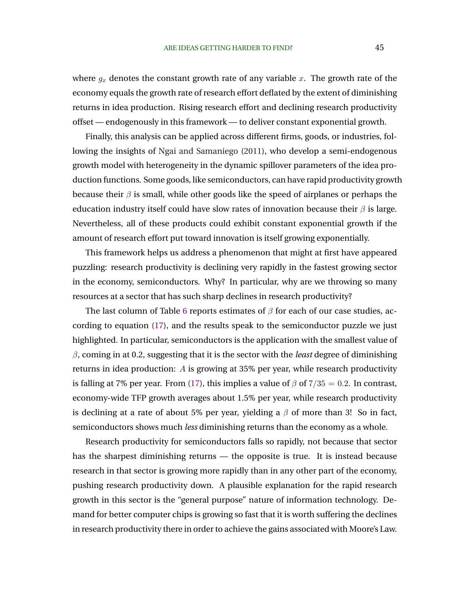where  $g_x$  denotes the constant growth rate of any variable x. The growth rate of the economy equals the growth rate of research effort deflated by the extent of diminishing returns in idea production. Rising research effort and declining research productivity offset — endogenously in this framework — to deliver constant exponential growth.

Finally, this analysis can be applied across different firms, goods, or industries, following the insights of [Ngai and Samaniego](#page-52-0) [\(2011\)](#page-52-0), who develop a semi-endogenous growth model with heterogeneity in the dynamic spillover parameters of the idea production functions. Some goods, like semiconductors, can have rapid productivity growth because their  $\beta$  is small, while other goods like the speed of airplanes or perhaps the education industry itself could have slow rates of innovation because their  $\beta$  is large. Nevertheless, all of these products could exhibit constant exponential growth if the amount of research effort put toward innovation is itself growing exponentially.

This framework helps us address a phenomenon that might at first have appeared puzzling: research productivity is declining very rapidly in the fastest growing sector in the economy, semiconductors. Why? In particular, why are we throwing so many resources at a sector that has such sharp declines in research productivity?

The last column of Table [6](#page-44-0) reports estimates of  $\beta$  for each of our case studies, according to equation [\(17\)](#page-43-0), and the results speak to the semiconductor puzzle we just highlighted. In particular, semiconductors is the application with the smallest value of β, coming in at 0.2, suggesting that it is the sector with the *least* degree of diminishing returns in idea production: A is growing at 35% per year, while research productivity is falling at 7% per year. From [\(17\)](#page-43-0), this implies a value of  $\beta$  of 7/35 = 0.2. In contrast, economy-wide TFP growth averages about 1.5% per year, while research productivity is declining at a rate of about 5% per year, yielding a  $\beta$  of more than 3! So in fact, semiconductors shows much *less* diminishing returns than the economy as a whole.

Research productivity for semiconductors falls so rapidly, not because that sector has the sharpest diminishing returns — the opposite is true. It is instead because research in that sector is growing more rapidly than in any other part of the economy, pushing research productivity down. A plausible explanation for the rapid research growth in this sector is the "general purpose" nature of information technology. Demand for better computer chips is growing so fast that it is worth suffering the declines in research productivity there in order to achieve the gains associated with Moore's Law.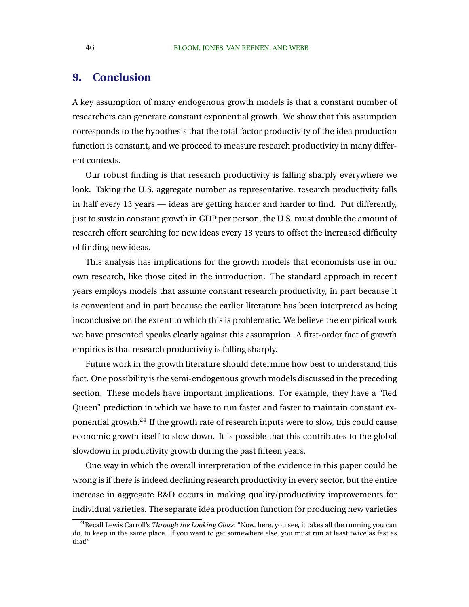# **9. Conclusion**

A key assumption of many endogenous growth models is that a constant number of researchers can generate constant exponential growth. We show that this assumption corresponds to the hypothesis that the total factor productivity of the idea production function is constant, and we proceed to measure research productivity in many different contexts.

Our robust finding is that research productivity is falling sharply everywhere we look. Taking the U.S. aggregate number as representative, research productivity falls in half every 13 years — ideas are getting harder and harder to find. Put differently, just to sustain constant growth in GDP per person, the U.S. must double the amount of research effort searching for new ideas every 13 years to offset the increased difficulty of finding new ideas.

This analysis has implications for the growth models that economists use in our own research, like those cited in the introduction. The standard approach in recent years employs models that assume constant research productivity, in part because it is convenient and in part because the earlier literature has been interpreted as being inconclusive on the extent to which this is problematic. We believe the empirical work we have presented speaks clearly against this assumption. A first-order fact of growth empirics is that research productivity is falling sharply.

Future work in the growth literature should determine how best to understand this fact. One possibility is the semi-endogenous growth models discussed in the preceding section. These models have important implications. For example, they have a "Red Queen" prediction in which we have to run faster and faster to maintain constant exponential growth.<sup>24</sup> If the growth rate of research inputs were to slow, this could cause economic growth itself to slow down. It is possible that this contributes to the global slowdown in productivity growth during the past fifteen years.

One way in which the overall interpretation of the evidence in this paper could be wrong is if there is indeed declining research productivity in every sector, but the entire increase in aggregate R&D occurs in making quality/productivity improvements for individual varieties. The separate idea production function for producing new varieties

<sup>24</sup>Recall Lewis Carroll's *Through the Looking Glass*: "Now, here, you see, it takes all the running you can do, to keep in the same place. If you want to get somewhere else, you must run at least twice as fast as that!"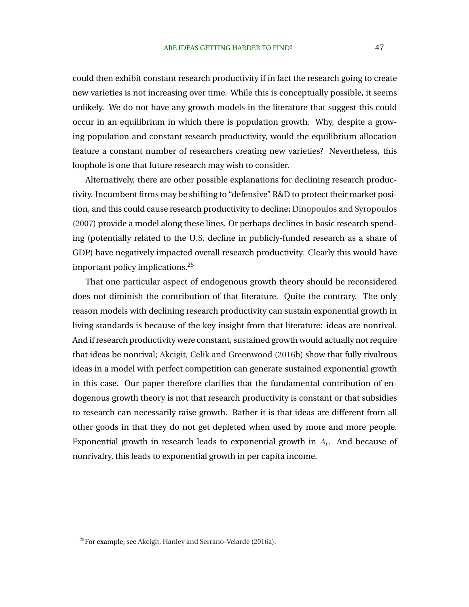<span id="page-47-0"></span>could then exhibit constant research productivity if in fact the research going to create new varieties is not increasing over time. While this is conceptually possible, it seems unlikely. We do not have any growth models in the literature that suggest this could occur in an equilibrium in which there is population growth. Why, despite a growing population and constant research productivity, would the equilibrium allocation feature a constant number of researchers creating new varieties? Nevertheless, this loophole is one that future research may wish to consider.

Alternatively, there are other possible explanations for declining research productivity. Incumbent firms may be shifting to "defensive" R&D to protect their market position, and this could cause research productivity to decline; [Dinopoulos and Syropoulos](#page-50-0) [\(2007\)](#page-50-0) provide a model along these lines. Or perhaps declines in basic research spending (potentially related to the U.S. decline in publicly-funded research as a share of GDP) have negatively impacted overall research productivity. Clearly this would have important policy implications.<sup>25</sup>

That one particular aspect of endogenous growth theory should be reconsidered does not diminish the contribution of that literature. Quite the contrary. The only reason models with declining research productivity can sustain exponential growth in living standards is because of the key insight from that literature: ideas are nonrival. And if research productivity were constant, sustained growth would actually not require that ideas be nonrival; [Akcigit, Celik and Greenwood](#page-48-0) [\(2016b\)](#page-48-0) show that fully rivalrous ideas in a model with perfect competition can generate sustained exponential growth in this case. Our paper therefore clarifies that the fundamental contribution of endogenous growth theory is not that research productivity is constant or that subsidies to research can necessarily raise growth. Rather it is that ideas are different from all other goods in that they do not get depleted when used by more and more people. Exponential growth in research leads to exponential growth in  $A_t$ . And because of nonrivalry, this leads to exponential growth in per capita income.

<sup>25</sup>For example, see [Akcigit, Hanley and Serrano-Velarde](#page-48-0) [\(2016a\)](#page-48-0).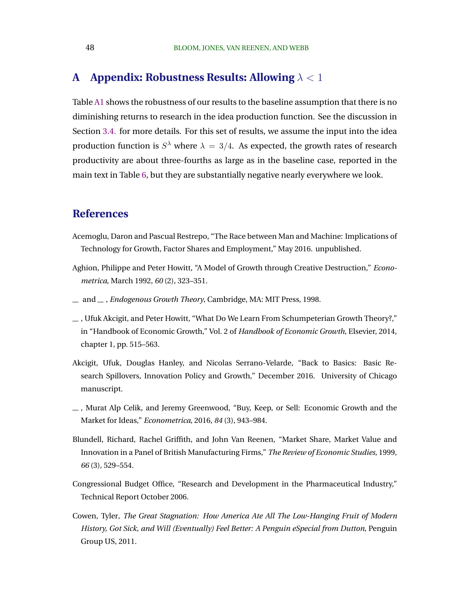# <span id="page-48-0"></span>**A Appendix: Robustness Results: Allowing** λ < 1

Table [A1](#page-49-0) shows the robustness of our results to the baseline assumption that there is no diminishing returns to research in the idea production function. See the discussion in Section [3.4.](#page-15-0) for more details. For this set of results, we assume the input into the idea production function is  $S^{\lambda}$  where  $\lambda = 3/4$ . As expected, the growth rates of research productivity are about three-fourths as large as in the baseline case, reported in the main text in Table [6,](#page-44-0) but they are substantially negative nearly everywhere we look.

## **References**

- Acemoglu, Daron and Pascual Restrepo, "The Race between Man and Machine: Implications of Technology for Growth, Factor Shares and Employment," May 2016. unpublished.
- Aghion, Philippe and Peter Howitt, "A Model of Growth through Creative Destruction," *Econometrica*, March 1992, *60* (2), 323–351.
- $\equiv$  and  $\equiv$ , *Endogenous Growth Theory*, Cambridge, MA: MIT Press, 1998.
- $\ldots$ , Ufuk Akcigit, and Peter Howitt, "What Do We Learn From Schumpeterian Growth Theory?," in "Handbook of Economic Growth," Vol. 2 of *Handbook of Economic Growth*, Elsevier, 2014, chapter 1, pp. 515–563.
- Akcigit, Ufuk, Douglas Hanley, and Nicolas Serrano-Velarde, "Back to Basics: Basic Research Spillovers, Innovation Policy and Growth," December 2016. University of Chicago manuscript.
- , Murat Alp Celik, and Jeremy Greenwood, "Buy, Keep, or Sell: Economic Growth and the Market for Ideas," *Econometrica*, 2016, *84* (3), 943–984.
- Blundell, Richard, Rachel Griffith, and John Van Reenen, "Market Share, Market Value and Innovation in a Panel of British Manufacturing Firms," *The Review of Economic Studies*, 1999, *66* (3), 529–554.
- Congressional Budget Office, "Research and Development in the Pharmaceutical Industry," Technical Report October 2006.
- Cowen, Tyler, *The Great Stagnation: How America Ate All The Low-Hanging Fruit of Modern History, Got Sick, and Will (Eventually) Feel Better: A Penguin eSpecial from Dutton*, Penguin Group US, 2011.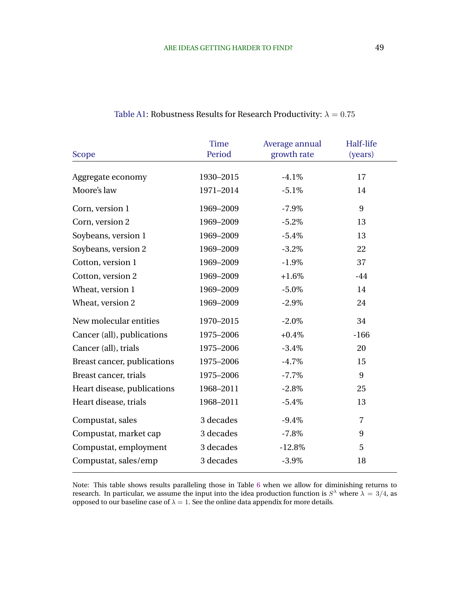<span id="page-49-0"></span>

|                             | <b>Time</b> | Average annual | Half-life      |  |
|-----------------------------|-------------|----------------|----------------|--|
| <b>Scope</b>                | Period      | growth rate    | (years)        |  |
|                             |             |                |                |  |
| Aggregate economy           | 1930-2015   | $-4.1%$        | 17             |  |
| Moore's law                 | 1971-2014   | $-5.1%$        | 14             |  |
| Corn, version 1             | 1969-2009   | $-7.9\%$       | 9              |  |
| Corn, version 2             | 1969-2009   | $-5.2%$        | 13             |  |
| Soybeans, version 1         | 1969-2009   | $-5.4%$        | 13             |  |
| Soybeans, version 2         | 1969-2009   | $-3.2%$        | 22             |  |
| Cotton, version 1           | 1969-2009   | $-1.9\%$       | 37             |  |
| Cotton, version 2           | 1969-2009   | $+1.6%$        | $-44$          |  |
| Wheat, version 1            | 1969-2009   | $-5.0\%$       | 14             |  |
| Wheat, version 2            | 1969-2009   | $-2.9\%$       | 24             |  |
| New molecular entities      | 1970-2015   | $-2.0\%$       | 34             |  |
| Cancer (all), publications  | 1975-2006   | $+0.4\%$       | $-166$         |  |
| Cancer (all), trials        | 1975-2006   | $-3.4%$        | 20             |  |
| Breast cancer, publications | 1975-2006   | $-4.7%$        | 15             |  |
| Breast cancer, trials       | 1975-2006   | $-7.7\%$       | 9              |  |
| Heart disease, publications | 1968-2011   | $-2.8\%$       | 25             |  |
| Heart disease, trials       | 1968-2011   | $-5.4%$        | 13             |  |
| Compustat, sales            | 3 decades   | $-9.4%$        | $\overline{7}$ |  |
| Compustat, market cap       | 3 decades   | $-7.8%$        | 9              |  |
| Compustat, employment       | 3 decades   | $-12.8%$       | 5              |  |
| Compustat, sales/emp        | 3 decades   | $-3.9\%$       | 18             |  |
|                             |             |                |                |  |

### Table A1: Robustness Results for Research Productivity:  $\lambda = 0.75$

Note: This table shows results paralleling those in Table [6](#page-44-0) when we allow for diminishing returns to research. In particular, we assume the input into the idea production function is  $S^{\lambda}$  where  $\lambda = 3/4$ , as opposed to our baseline case of  $λ = 1$ . See the online data appendix for more details.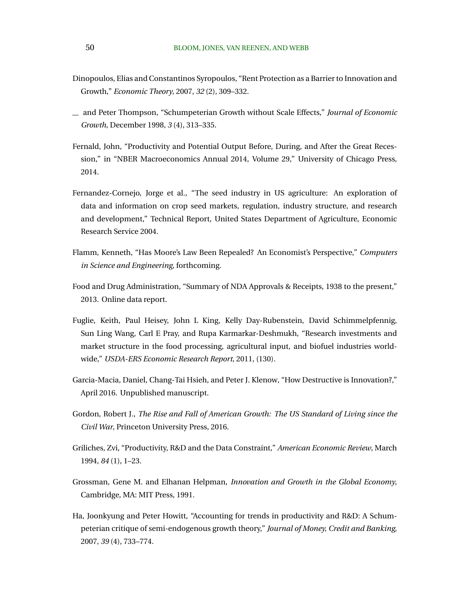- <span id="page-50-0"></span>Dinopoulos, Elias and Constantinos Syropoulos, "Rent Protection as a Barrier to Innovation and Growth," *Economic Theory*, 2007, *32* (2), 309–332.
- and Peter Thompson, "Schumpeterian Growth without Scale Effects," *Journal of Economic Growth*, December 1998, *3* (4), 313–335.
- Fernald, John, "Productivity and Potential Output Before, During, and After the Great Recession," in "NBER Macroeconomics Annual 2014, Volume 29," University of Chicago Press, 2014.
- Fernandez-Cornejo, Jorge et al., "The seed industry in US agriculture: An exploration of data and information on crop seed markets, regulation, industry structure, and research and development," Technical Report, United States Department of Agriculture, Economic Research Service 2004.
- Flamm, Kenneth, "Has Moore's Law Been Repealed? An Economist's Perspective," *Computers in Science and Engineering*, forthcoming.
- Food and Drug Administration, "Summary of NDA Approvals & Receipts, 1938 to the present," 2013. Online data report.
- Fuglie, Keith, Paul Heisey, John L King, Kelly Day-Rubenstein, David Schimmelpfennig, Sun Ling Wang, Carl E Pray, and Rupa Karmarkar-Deshmukh, "Research investments and market structure in the food processing, agricultural input, and biofuel industries worldwide," *USDA-ERS Economic Research Report*, 2011, (130).
- Garcia-Macia, Daniel, Chang-Tai Hsieh, and Peter J. Klenow, "How Destructive is Innovation?," April 2016. Unpublished manuscript.
- Gordon, Robert J., *The Rise and Fall of American Growth: The US Standard of Living since the Civil War*, Princeton University Press, 2016.
- Griliches, Zvi, "Productivity, R&D and the Data Constraint," *American Economic Review*, March 1994, *84* (1), 1–23.
- Grossman, Gene M. and Elhanan Helpman, *Innovation and Growth in the Global Economy*, Cambridge, MA: MIT Press, 1991.
- Ha, Joonkyung and Peter Howitt, "Accounting for trends in productivity and R&D: A Schumpeterian critique of semi-endogenous growth theory," *Journal of Money, Credit and Banking*, 2007, *39* (4), 733–774.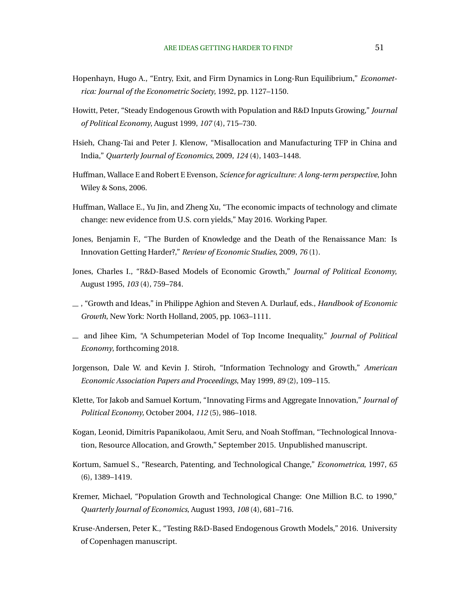- <span id="page-51-0"></span>Hopenhayn, Hugo A., "Entry, Exit, and Firm Dynamics in Long-Run Equilibrium," *Econometrica: Journal of the Econometric Society*, 1992, pp. 1127–1150.
- Howitt, Peter, "Steady Endogenous Growth with Population and R&D Inputs Growing," *Journal of Political Economy*, August 1999, *107* (4), 715–730.
- Hsieh, Chang-Tai and Peter J. Klenow, "Misallocation and Manufacturing TFP in China and India," *Quarterly Journal of Economics*, 2009, *124* (4), 1403–1448.
- Huffman, Wallace E and Robert E Evenson, *Science for agriculture: A long-term perspective*, John Wiley & Sons, 2006.
- Huffman, Wallace E., Yu Jin, and Zheng Xu, "The economic impacts of technology and climate change: new evidence from U.S. corn yields," May 2016. Working Paper.
- Jones, Benjamin F., "The Burden of Knowledge and the Death of the Renaissance Man: Is Innovation Getting Harder?," *Review of Economic Studies*, 2009, *76* (1).
- Jones, Charles I., "R&D-Based Models of Economic Growth," *Journal of Political Economy*, August 1995, *103* (4), 759–784.
- , "Growth and Ideas," in Philippe Aghion and Steven A. Durlauf, eds., *Handbook of Economic Growth*, New York: North Holland, 2005, pp. 1063–1111.
- and Jihee Kim, "A Schumpeterian Model of Top Income Inequality," *Journal of Political Economy*, forthcoming 2018.
- Jorgenson, Dale W. and Kevin J. Stiroh, "Information Technology and Growth," *American Economic Association Papers and Proceedings*, May 1999, *89* (2), 109–115.
- Klette, Tor Jakob and Samuel Kortum, "Innovating Firms and Aggregate Innovation," *Journal of Political Economy*, October 2004, *112* (5), 986–1018.
- Kogan, Leonid, Dimitris Papanikolaou, Amit Seru, and Noah Stoffman, "Technological Innovation, Resource Allocation, and Growth," September 2015. Unpublished manuscript.
- Kortum, Samuel S., "Research, Patenting, and Technological Change," *Econometrica*, 1997, *65* (6), 1389–1419.
- Kremer, Michael, "Population Growth and Technological Change: One Million B.C. to 1990," *Quarterly Journal of Economics*, August 1993, *108* (4), 681–716.
- Kruse-Andersen, Peter K., "Testing R&D-Based Endogenous Growth Models," 2016. University of Copenhagen manuscript.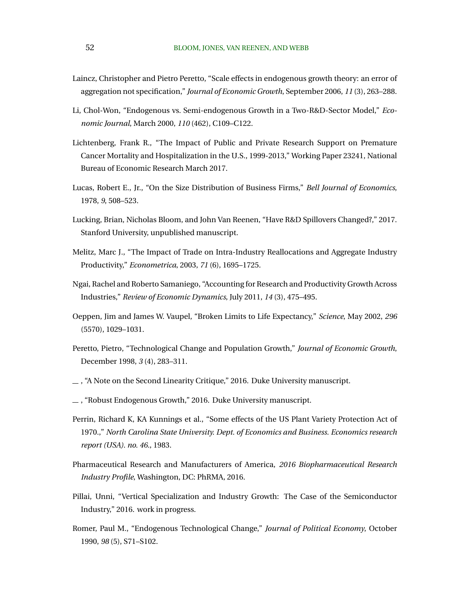- <span id="page-52-0"></span>Laincz, Christopher and Pietro Peretto, "Scale effects in endogenous growth theory: an error of aggregation not specification," *Journal of Economic Growth*, September 2006, *11* (3), 263–288.
- Li, Chol-Won, "Endogenous vs. Semi-endogenous Growth in a Two-R&D-Sector Model," *Economic Journal*, March 2000, *110* (462), C109–C122.
- Lichtenberg, Frank R., "The Impact of Public and Private Research Support on Premature Cancer Mortality and Hospitalization in the U.S., 1999-2013," Working Paper 23241, National Bureau of Economic Research March 2017.
- Lucas, Robert E., Jr., "On the Size Distribution of Business Firms," *Bell Journal of Economics*, 1978, *9*, 508–523.
- Lucking, Brian, Nicholas Bloom, and John Van Reenen, "Have R&D Spillovers Changed?," 2017. Stanford University, unpublished manuscript.
- Melitz, Marc J., "The Impact of Trade on Intra-Industry Reallocations and Aggregate Industry Productivity," *Econometrica*, 2003, *71* (6), 1695–1725.
- Ngai, Rachel and Roberto Samaniego, "Accounting for Research and Productivity Growth Across Industries," *Review of Economic Dynamics*, July 2011, *14* (3), 475–495.
- Oeppen, Jim and James W. Vaupel, "Broken Limits to Life Expectancy," *Science*, May 2002, *296* (5570), 1029–1031.
- Peretto, Pietro, "Technological Change and Population Growth," *Journal of Economic Growth*, December 1998, *3* (4), 283–311.
- , "A Note on the Second Linearity Critique," 2016. Duke University manuscript.
- , "Robust Endogenous Growth," 2016. Duke University manuscript.
- Perrin, Richard K, KA Kunnings et al., "Some effects of the US Plant Variety Protection Act of 1970.," *North Carolina State University. Dept. of Economics and Business. Economics research report (USA). no. 46.*, 1983.
- Pharmaceutical Research and Manufacturers of America, *2016 Biopharmaceutical Research Industry Profile*, Washington, DC: PhRMA, 2016.
- Pillai, Unni, "Vertical Specialization and Industry Growth: The Case of the Semiconductor Industry," 2016. work in progress.
- Romer, Paul M., "Endogenous Technological Change," *Journal of Political Economy*, October 1990, *98* (5), S71–S102.